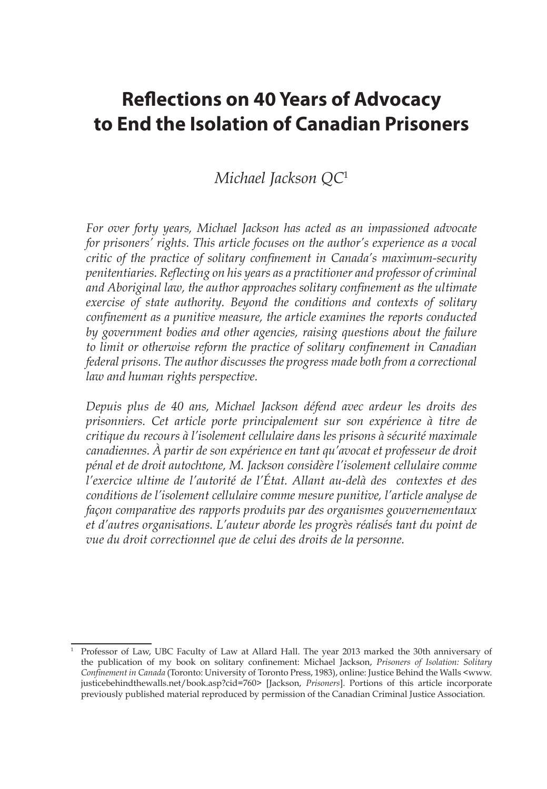# **Reflections on 40 Years of Advocacy to End the Isolation of Canadian Prisoners**

## *Michael Jackson QC*<sup>1</sup>

*For over forty years, Michael Jackson has acted as an impassioned advocate for prisoners' rights. This article focuses on the author's experience as a vocal critic of the practice of solitary confinement in Canada's maximum-security penitentiaries. Reflecting on his years as a practitioner and professor of criminal and Aboriginal law, the author approaches solitary confinement as the ultimate exercise of state authority. Beyond the conditions and contexts of solitary confinement as a punitive measure, the article examines the reports conducted by government bodies and other agencies, raising questions about the failure to limit or otherwise reform the practice of solitary confinement in Canadian federal prisons. The author discusses the progress made both from a correctional law and human rights perspective.*

*Depuis plus de 40 ans, Michael Jackson défend avec ardeur les droits des prisonniers. Cet article porte principalement sur son expérience à titre de critique du recours à l'isolement cellulaire dans les prisons à sécurité maximale canadiennes. À partir de son expérience en tant qu'avocat et professeur de droit pénal et de droit autochtone, M. Jackson considère l'isolement cellulaire comme l'exercice ultime de l'autorité de l'État. Allant au-delà des contextes et des conditions de l'isolement cellulaire comme mesure punitive, l'article analyse de façon comparative des rapports produits par des organismes gouvernementaux et d'autres organisations. L'auteur aborde les progrès réalisés tant du point de vue du droit correctionnel que de celui des droits de la personne.*

<sup>1</sup> Professor of Law, UBC Faculty of Law at Allard Hall. The year 2013 marked the 30th anniversary of the publication of my book on solitary confinement: Michael Jackson, *Prisoners of Isolation: Solitary Confinement in Canada* (Toronto: University of Toronto Press, 1983), online: Justice Behind the Walls <www. justicebehindthewalls.net/book.asp?cid=760> [Jackson, *Prisoners*]. Portions of this article incorporate previously published material reproduced by permission of the Canadian Criminal Justice Association.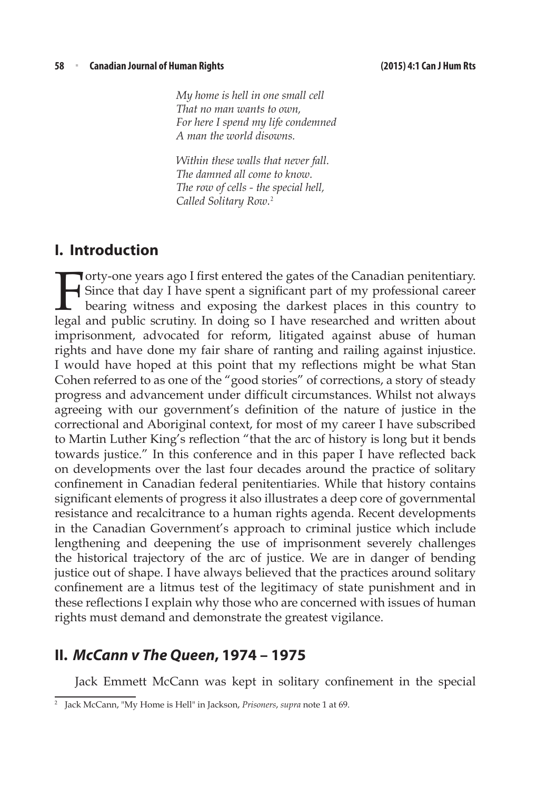*My home is hell in one small cell That no man wants to own, For here I spend my life condemned A man the world disowns.*

*Within these walls that never fall. The damned all come to know. The row of cells - the special hell, Called Solitary Row.*<sup>2</sup>

## **I. Introduction**

Forty-one years ago I first entered the gates of the Canadian penitentiary.<br>Since that day I have spent a significant part of my professional career<br>bearing witness and exposing the darkest places in this country to<br>legal Since that day I have spent a significant part of my professional career bearing witness and exposing the darkest places in this country to legal and public scrutiny. In doing so I have researched and written about imprisonment, advocated for reform, litigated against abuse of human rights and have done my fair share of ranting and railing against injustice. I would have hoped at this point that my reflections might be what Stan Cohen referred to as one of the "good stories" of corrections, a story of steady progress and advancement under difficult circumstances. Whilst not always agreeing with our government's definition of the nature of justice in the correctional and Aboriginal context, for most of my career I have subscribed to Martin Luther King's reflection "that the arc of history is long but it bends towards justice." In this conference and in this paper I have reflected back on developments over the last four decades around the practice of solitary confinement in Canadian federal penitentiaries. While that history contains significant elements of progress it also illustrates a deep core of governmental resistance and recalcitrance to a human rights agenda. Recent developments in the Canadian Government's approach to criminal justice which include lengthening and deepening the use of imprisonment severely challenges the historical trajectory of the arc of justice. We are in danger of bending justice out of shape. I have always believed that the practices around solitary confinement are a litmus test of the legitimacy of state punishment and in these reflections I explain why those who are concerned with issues of human rights must demand and demonstrate the greatest vigilance.

## **II.** *McCann v The Queen***, 1974 – 1975**

Jack Emmett McCann was kept in solitary confinement in the special

<sup>2</sup> Jack McCann, "My Home is Hell" in Jackson, *Prisoners*, *supra* note 1 at 69.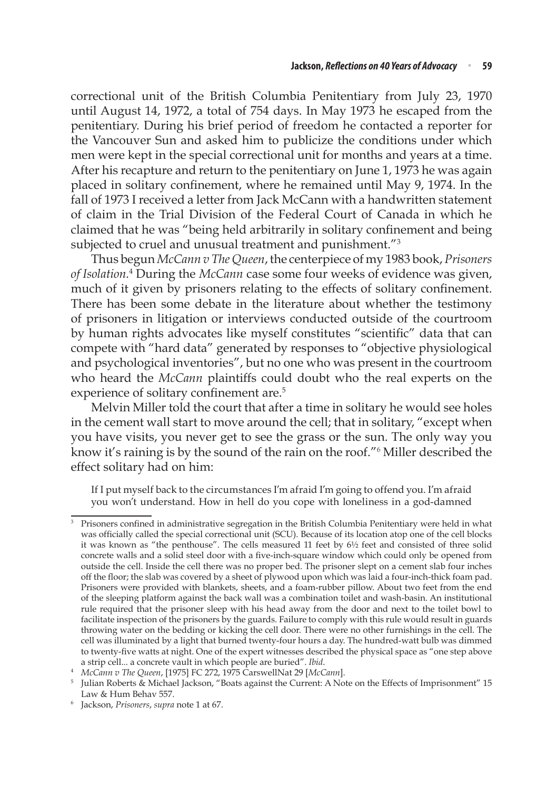correctional unit of the British Columbia Penitentiary from July 23, 1970 until August 14, 1972, a total of 754 days. In May 1973 he escaped from the penitentiary. During his brief period of freedom he contacted a reporter for the Vancouver Sun and asked him to publicize the conditions under which men were kept in the special correctional unit for months and years at a time. After his recapture and return to the penitentiary on June 1, 1973 he was again placed in solitary confinement, where he remained until May 9, 1974. In the fall of 1973 I received a letter from Jack McCann with a handwritten statement of claim in the Trial Division of the Federal Court of Canada in which he claimed that he was "being held arbitrarily in solitary confinement and being subjected to cruel and unusual treatment and punishment."<sup>3</sup>

Thus begun *McCann v The Queen*, the centerpiece of my 1983 book, *Prisoners of Isolation.*<sup>4</sup> During the *McCann* case some four weeks of evidence was given, much of it given by prisoners relating to the effects of solitary confinement. There has been some debate in the literature about whether the testimony of prisoners in litigation or interviews conducted outside of the courtroom by human rights advocates like myself constitutes "scientific" data that can compete with "hard data" generated by responses to "objective physiological and psychological inventories", but no one who was present in the courtroom who heard the *McCann* plaintiffs could doubt who the real experts on the experience of solitary confinement are.<sup>5</sup>

Melvin Miller told the court that after a time in solitary he would see holes in the cement wall start to move around the cell; that in solitary, "except when you have visits, you never get to see the grass or the sun. The only way you know it's raining is by the sound of the rain on the roof."<sup>6</sup> Miller described the effect solitary had on him:

If I put myself back to the circumstances I'm afraid I'm going to offend you. I'm afraid you won't understand. How in hell do you cope with loneliness in a god-damned

Prisoners confined in administrative segregation in the British Columbia Penitentiary were held in what was officially called the special correctional unit (SCU). Because of its location atop one of the cell blocks it was known as "the penthouse". The cells measured 11 feet by 6½ feet and consisted of three solid concrete walls and a solid steel door with a five-inch-square window which could only be opened from outside the cell. Inside the cell there was no proper bed. The prisoner slept on a cement slab four inches off the floor; the slab was covered by a sheet of plywood upon which was laid a four-inch-thick foam pad. Prisoners were provided with blankets, sheets, and a foam-rubber pillow. About two feet from the end of the sleeping platform against the back wall was a combination toilet and wash-basin. An institutional rule required that the prisoner sleep with his head away from the door and next to the toilet bowl to facilitate inspection of the prisoners by the guards. Failure to comply with this rule would result in guards throwing water on the bedding or kicking the cell door. There were no other furnishings in the cell. The cell was illuminated by a light that burned twenty-four hours a day. The hundred-watt bulb was dimmed to twenty-five watts at night. One of the expert witnesses described the physical space as "one step above a strip cell... a concrete vault in which people are buried". *Ibid*.

<sup>4</sup> *McCann v The Queen*, [1975] FC 272, 1975 CarswellNat 29 [*McCann*].

<sup>5</sup> Julian Roberts & Michael Jackson, "Boats against the Current: A Note on the Effects of Imprisonment" 15 Law & Hum Behav 557.

<sup>6</sup> Jackson, *Prisoners*, *supra* note 1 at 67.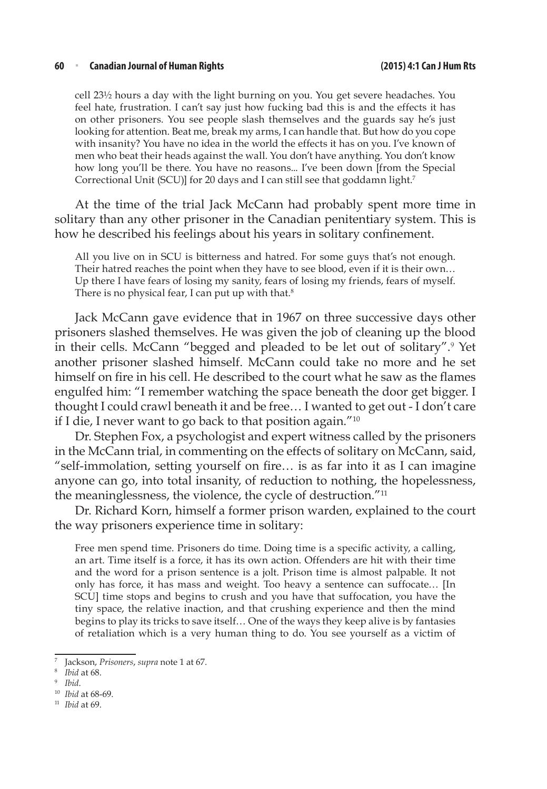cell 23½ hours a day with the light burning on you. You get severe headaches. You feel hate, frustration. I can't say just how fucking bad this is and the effects it has on other prisoners. You see people slash themselves and the guards say he's just looking for attention. Beat me, break my arms, I can handle that. But how do you cope with insanity? You have no idea in the world the effects it has on you. I've known of men who beat their heads against the wall. You don't have anything. You don't know how long you'll be there. You have no reasons... I've been down [from the Special Correctional Unit (SCU)] for 20 days and I can still see that goddamn light.<sup>7</sup>

At the time of the trial Jack McCann had probably spent more time in solitary than any other prisoner in the Canadian penitentiary system. This is how he described his feelings about his years in solitary confinement.

All you live on in SCU is bitterness and hatred. For some guys that's not enough. Their hatred reaches the point when they have to see blood, even if it is their own… Up there I have fears of losing my sanity, fears of losing my friends, fears of myself. There is no physical fear, I can put up with that.<sup>8</sup>

Jack McCann gave evidence that in 1967 on three successive days other prisoners slashed themselves. He was given the job of cleaning up the blood in their cells. McCann "begged and pleaded to be let out of solitary".<sup>9</sup> Yet another prisoner slashed himself. McCann could take no more and he set himself on fire in his cell. He described to the court what he saw as the flames engulfed him: "I remember watching the space beneath the door get bigger. I thought I could crawl beneath it and be free… I wanted to get out - I don't care if I die, I never want to go back to that position again." $10$ 

Dr. Stephen Fox, a psychologist and expert witness called by the prisoners in the McCann trial, in commenting on the effects of solitary on McCann, said, "self-immolation, setting yourself on fire… is as far into it as I can imagine anyone can go, into total insanity, of reduction to nothing, the hopelessness, the meaninglessness, the violence, the cycle of destruction."11

Dr. Richard Korn, himself a former prison warden, explained to the court the way prisoners experience time in solitary:

Free men spend time. Prisoners do time. Doing time is a specific activity, a calling, an art. Time itself is a force, it has its own action. Offenders are hit with their time and the word for a prison sentence is a jolt. Prison time is almost palpable. It not only has force, it has mass and weight. Too heavy a sentence can suffocate… [In SCU] time stops and begins to crush and you have that suffocation, you have the tiny space, the relative inaction, and that crushing experience and then the mind begins to play its tricks to save itself… One of the ways they keep alive is by fantasies of retaliation which is a very human thing to do. You see yourself as a victim of

<sup>7</sup> Jackson, *Prisoners*, *supra* note 1 at 67.

<sup>8</sup> *Ibid* at 68.

<sup>9</sup> *Ibid*.

<sup>10</sup> *Ibid* at 68-69.

<sup>11</sup> *Ibid* at 69.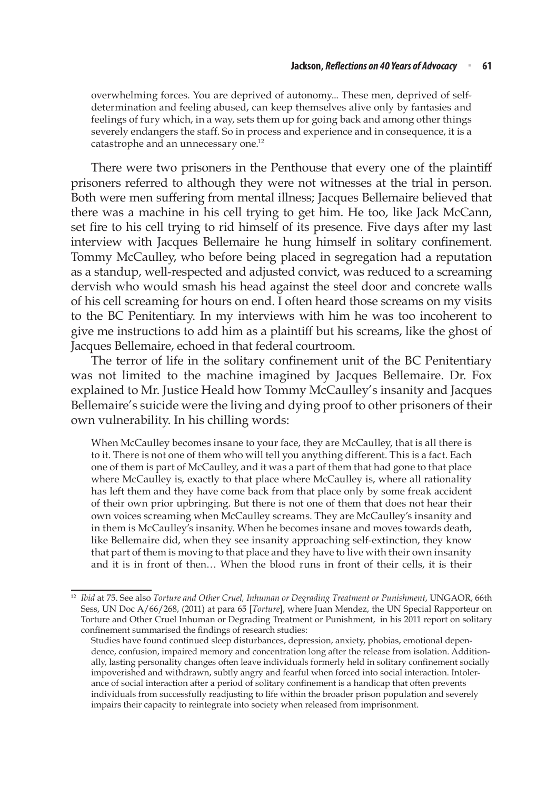overwhelming forces. You are deprived of autonomy... These men, deprived of selfdetermination and feeling abused, can keep themselves alive only by fantasies and feelings of fury which, in a way, sets them up for going back and among other things severely endangers the staff. So in process and experience and in consequence, it is a catastrophe and an unnecessary one.<sup>12</sup>

There were two prisoners in the Penthouse that every one of the plaintiff prisoners referred to although they were not witnesses at the trial in person. Both were men suffering from mental illness; Jacques Bellemaire believed that there was a machine in his cell trying to get him. He too, like Jack McCann, set fire to his cell trying to rid himself of its presence. Five days after my last interview with Jacques Bellemaire he hung himself in solitary confinement. Tommy McCaulley, who before being placed in segregation had a reputation as a standup, well-respected and adjusted convict, was reduced to a screaming dervish who would smash his head against the steel door and concrete walls of his cell screaming for hours on end. I often heard those screams on my visits to the BC Penitentiary. In my interviews with him he was too incoherent to give me instructions to add him as a plaintiff but his screams, like the ghost of Jacques Bellemaire, echoed in that federal courtroom.

The terror of life in the solitary confinement unit of the BC Penitentiary was not limited to the machine imagined by Jacques Bellemaire. Dr. Fox explained to Mr. Justice Heald how Tommy McCaulley's insanity and Jacques Bellemaire's suicide were the living and dying proof to other prisoners of their own vulnerability. In his chilling words:

When McCaulley becomes insane to your face, they are McCaulley, that is all there is to it. There is not one of them who will tell you anything different. This is a fact. Each one of them is part of McCaulley, and it was a part of them that had gone to that place where McCaulley is, exactly to that place where McCaulley is, where all rationality has left them and they have come back from that place only by some freak accident of their own prior upbringing. But there is not one of them that does not hear their own voices screaming when McCaulley screams. They are McCaulley's insanity and in them is McCaulley's insanity. When he becomes insane and moves towards death, like Bellemaire did, when they see insanity approaching self-extinction, they know that part of them is moving to that place and they have to live with their own insanity and it is in front of then… When the blood runs in front of their cells, it is their

<sup>&</sup>lt;sup>12</sup> *Ibid* at 75. See also *Torture and Other Cruel, Inhuman or Degrading Treatment or Punishment*, UNGAOR, 66th Sess, UN Doc A/66/268, (2011) at para 65 [*Torture*], where Juan Mendez, the UN Special Rapporteur on Torture and Other Cruel Inhuman or Degrading Treatment or Punishment, in his 2011 report on solitary confinement summarised the findings of research studies:

Studies have found continued sleep disturbances, depression, anxiety, phobias, emotional dependence, confusion, impaired memory and concentration long after the release from isolation. Additionally, lasting personality changes often leave individuals formerly held in solitary confinement socially impoverished and withdrawn, subtly angry and fearful when forced into social interaction. Intolerance of social interaction after a period of solitary confinement is a handicap that often prevents individuals from successfully readjusting to life within the broader prison population and severely impairs their capacity to reintegrate into society when released from imprisonment.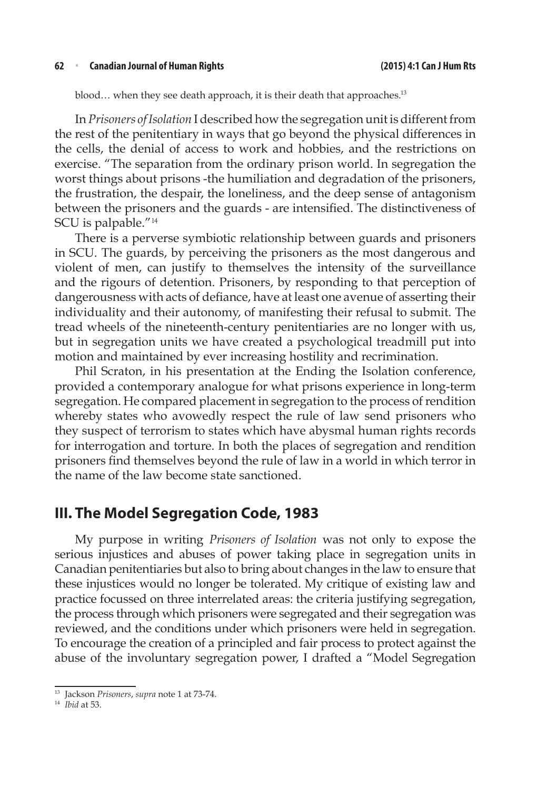blood... when they see death approach, it is their death that approaches.<sup>13</sup>

In *Prisoners of Isolation* I described how the segregation unit is different from the rest of the penitentiary in ways that go beyond the physical differences in the cells, the denial of access to work and hobbies, and the restrictions on exercise. "The separation from the ordinary prison world. In segregation the worst things about prisons -the humiliation and degradation of the prisoners, the frustration, the despair, the loneliness, and the deep sense of antagonism between the prisoners and the guards - are intensified. The distinctiveness of SCU is palpable."<sup>14</sup>

There is a perverse symbiotic relationship between guards and prisoners in SCU. The guards, by perceiving the prisoners as the most dangerous and violent of men, can justify to themselves the intensity of the surveillance and the rigours of detention. Prisoners, by responding to that perception of dangerousness with acts of defiance, have at least one avenue of asserting their individuality and their autonomy, of manifesting their refusal to submit. The tread wheels of the nineteenth-century penitentiaries are no longer with us, but in segregation units we have created a psychological treadmill put into motion and maintained by ever increasing hostility and recrimination.

Phil Scraton, in his presentation at the Ending the Isolation conference, provided a contemporary analogue for what prisons experience in long-term segregation. He compared placement in segregation to the process of rendition whereby states who avowedly respect the rule of law send prisoners who they suspect of terrorism to states which have abysmal human rights records for interrogation and torture. In both the places of segregation and rendition prisoners find themselves beyond the rule of law in a world in which terror in the name of the law become state sanctioned.

## **III. The Model Segregation Code, 1983**

My purpose in writing *Prisoners of Isolation* was not only to expose the serious injustices and abuses of power taking place in segregation units in Canadian penitentiaries but also to bring about changes in the law to ensure that these injustices would no longer be tolerated. My critique of existing law and practice focussed on three interrelated areas: the criteria justifying segregation, the process through which prisoners were segregated and their segregation was reviewed, and the conditions under which prisoners were held in segregation. To encourage the creation of a principled and fair process to protect against the abuse of the involuntary segregation power, I drafted a "Model Segregation

<sup>13</sup> Jackson *Prisoners*, *supra* note 1 at 73-74.

<sup>14</sup> *Ibid* at 53.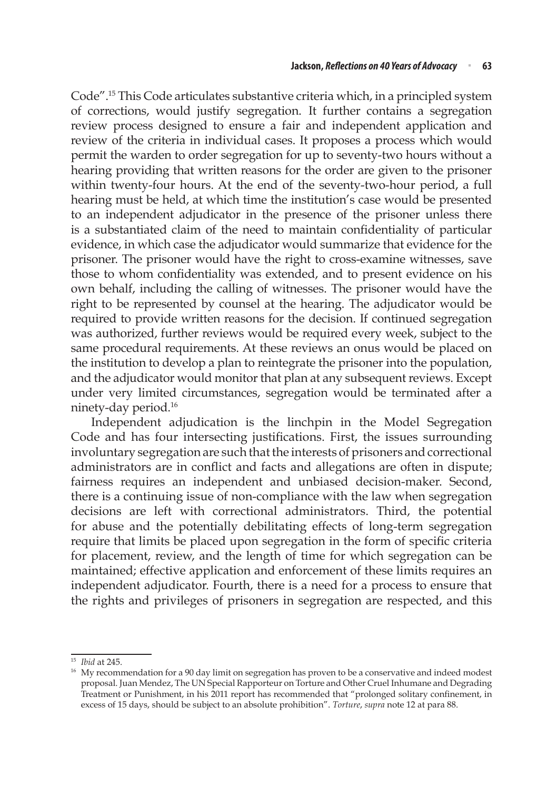Code".<sup>15</sup> This Code articulates substantive criteria which, in a principled system of corrections, would justify segregation. It further contains a segregation review process designed to ensure a fair and independent application and review of the criteria in individual cases. It proposes a process which would permit the warden to order segregation for up to seventy-two hours without a hearing providing that written reasons for the order are given to the prisoner within twenty-four hours. At the end of the seventy-two-hour period, a full hearing must be held, at which time the institution's case would be presented to an independent adjudicator in the presence of the prisoner unless there is a substantiated claim of the need to maintain confidentiality of particular evidence, in which case the adjudicator would summarize that evidence for the prisoner. The prisoner would have the right to cross-examine witnesses, save those to whom confidentiality was extended, and to present evidence on his own behalf, including the calling of witnesses. The prisoner would have the right to be represented by counsel at the hearing. The adjudicator would be required to provide written reasons for the decision. If continued segregation was authorized, further reviews would be required every week, subject to the same procedural requirements. At these reviews an onus would be placed on the institution to develop a plan to reintegrate the prisoner into the population, and the adjudicator would monitor that plan at any subsequent reviews. Except under very limited circumstances, segregation would be terminated after a ninety-day period.16

Independent adjudication is the linchpin in the Model Segregation Code and has four intersecting justifications. First, the issues surrounding involuntary segregation are such that the interests of prisoners and correctional administrators are in conflict and facts and allegations are often in dispute; fairness requires an independent and unbiased decision-maker. Second, there is a continuing issue of non-compliance with the law when segregation decisions are left with correctional administrators. Third, the potential for abuse and the potentially debilitating effects of long-term segregation require that limits be placed upon segregation in the form of specific criteria for placement, review, and the length of time for which segregation can be maintained; effective application and enforcement of these limits requires an independent adjudicator. Fourth, there is a need for a process to ensure that the rights and privileges of prisoners in segregation are respected, and this

<sup>15</sup> *Ibid* at 245.

<sup>&</sup>lt;sup>16</sup> My recommendation for a 90 day limit on segregation has proven to be a conservative and indeed modest proposal. Juan Mendez, The UN Special Rapporteur on Torture and Other Cruel Inhumane and Degrading Treatment or Punishment, in his 2011 report has recommended that "prolonged solitary confinement, in excess of 15 days, should be subject to an absolute prohibition". *Torture*, *supra* note 12 at para 88.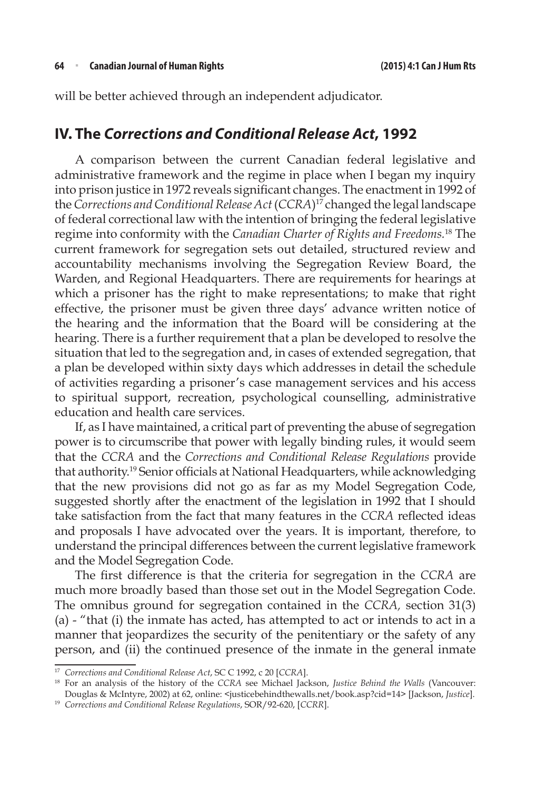will be better achieved through an independent adjudicator.

## **IV. The** *Corrections and Conditional Release Act***, 1992**

A comparison between the current Canadian federal legislative and administrative framework and the regime in place when I began my inquiry into prison justice in 1972 reveals significant changes. The enactment in 1992 of the *Corrections and Conditional Release Act* (*CCRA*)17 changed the legal landscape of federal correctional law with the intention of bringing the federal legislative regime into conformity with the *Canadian Charter of Rights and Freedoms.*<sup>18</sup> The current framework for segregation sets out detailed, structured review and accountability mechanisms involving the Segregation Review Board, the Warden, and Regional Headquarters. There are requirements for hearings at which a prisoner has the right to make representations; to make that right effective, the prisoner must be given three days' advance written notice of the hearing and the information that the Board will be considering at the hearing. There is a further requirement that a plan be developed to resolve the situation that led to the segregation and, in cases of extended segregation, that a plan be developed within sixty days which addresses in detail the schedule of activities regarding a prisoner's case management services and his access to spiritual support, recreation, psychological counselling, administrative education and health care services.

If, as I have maintained, a critical part of preventing the abuse of segregation power is to circumscribe that power with legally binding rules, it would seem that the *CCRA* and the *Corrections and Conditional Release Regulations* provide that authority.19 Senior officials at National Headquarters, while acknowledging that the new provisions did not go as far as my Model Segregation Code, suggested shortly after the enactment of the legislation in 1992 that I should take satisfaction from the fact that many features in the *CCRA* reflected ideas and proposals I have advocated over the years. It is important, therefore, to understand the principal differences between the current legislative framework and the Model Segregation Code.

The first difference is that the criteria for segregation in the *CCRA* are much more broadly based than those set out in the Model Segregation Code. The omnibus ground for segregation contained in the *CCRA,* section 31(3) (a) - "that (i) the inmate has acted, has attempted to act or intends to act in a manner that jeopardizes the security of the penitentiary or the safety of any person, and (ii) the continued presence of the inmate in the general inmate

<sup>17</sup> *Corrections and Conditional Release Act*, SC C 1992, c 20 [*CCRA*].

<sup>18</sup> For an analysis of the history of the *CCRA* see Michael Jackson, *Justice Behind the Walls* (Vancouver: Douglas & McIntyre, 2002) at 62, online: <justicebehindthewalls.net/book.asp?cid=14> [Jackson, *Justice*].

<sup>19</sup> *Corrections and Conditional Release Regulations*, SOR/92-620, [*CCRR*].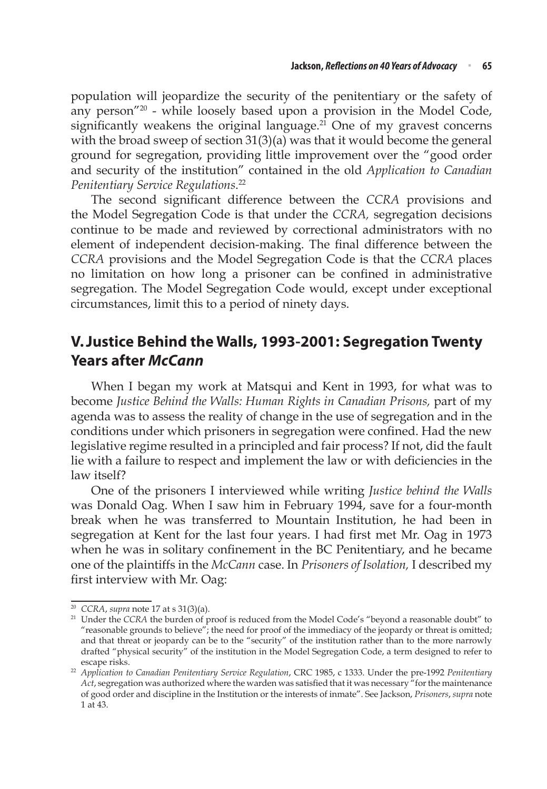population will jeopardize the security of the penitentiary or the safety of any person"20 - while loosely based upon a provision in the Model Code, significantly weakens the original language.<sup>21</sup> One of my gravest concerns with the broad sweep of section 31(3)(a) was that it would become the general ground for segregation, providing little improvement over the "good order and security of the institution" contained in the old *Application to Canadian Penitentiary Service Regulations*. 22

The second significant difference between the *CCRA* provisions and the Model Segregation Code is that under the *CCRA,* segregation decisions continue to be made and reviewed by correctional administrators with no element of independent decision-making. The final difference between the *CCRA* provisions and the Model Segregation Code is that the *CCRA* places no limitation on how long a prisoner can be confined in administrative segregation. The Model Segregation Code would, except under exceptional circumstances, limit this to a period of ninety days.

## **V. Justice Behind the Walls, 1993-2001: Segregation Twenty Years after** *McCann*

When I began my work at Matsqui and Kent in 1993, for what was to become *Justice Behind the Walls: Human Rights in Canadian Prisons,* part of my agenda was to assess the reality of change in the use of segregation and in the conditions under which prisoners in segregation were confined. Had the new legislative regime resulted in a principled and fair process? If not, did the fault lie with a failure to respect and implement the law or with deficiencies in the law itself?

One of the prisoners I interviewed while writing *Justice behind the Walls* was Donald Oag. When I saw him in February 1994, save for a four-month break when he was transferred to Mountain Institution, he had been in segregation at Kent for the last four years. I had first met Mr. Oag in 1973 when he was in solitary confinement in the BC Penitentiary, and he became one of the plaintiffs in the *McCann* case. In *Prisoners of Isolation,* I described my first interview with Mr. Oag:

<sup>20</sup> *CCRA*, *supra* note 17 at s 31(3)(a).

<sup>&</sup>lt;sup>21</sup> Under the *CCRA* the burden of proof is reduced from the Model Code's "beyond a reasonable doubt" to "reasonable grounds to believe"; the need for proof of the immediacy of the jeopardy or threat is omitted; and that threat or jeopardy can be to the "security" of the institution rather than to the more narrowly drafted "physical security" of the institution in the Model Segregation Code, a term designed to refer to escape risks.

<sup>22</sup> *Application to Canadian Penitentiary Service Regulation*, CRC 1985, c 1333. Under the pre-1992 *Penitentiary Act*, segregation was authorized where the warden was satisfied that it was necessary "for the maintenance of good order and discipline in the Institution or the interests of inmate". See Jackson, *Prisoners*, *supra* note 1 at 43.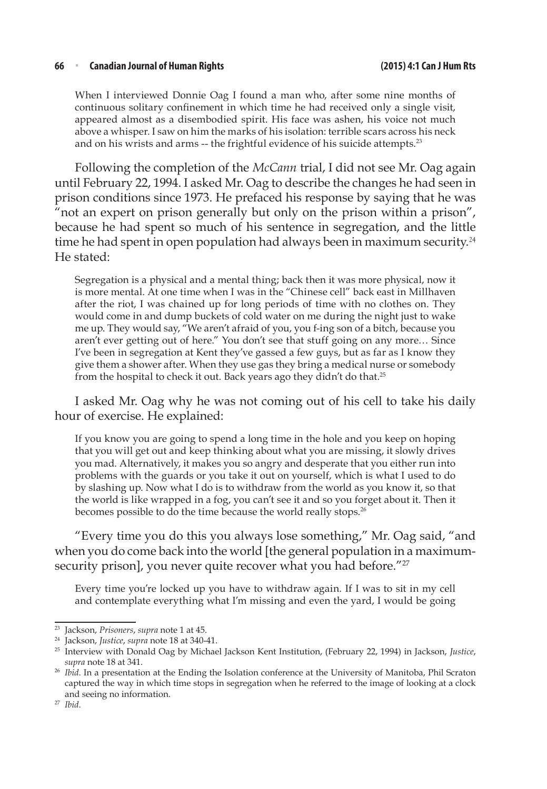When I interviewed Donnie Oag I found a man who, after some nine months of continuous solitary confinement in which time he had received only a single visit, appeared almost as a disembodied spirit. His face was ashen, his voice not much above a whisper. I saw on him the marks of his isolation: terrible scars across his neck and on his wrists and arms -- the frightful evidence of his suicide attempts.<sup>23</sup>

Following the completion of the *McCann* trial, I did not see Mr. Oag again until February 22, 1994. I asked Mr. Oag to describe the changes he had seen in prison conditions since 1973. He prefaced his response by saying that he was "not an expert on prison generally but only on the prison within a prison", because he had spent so much of his sentence in segregation, and the little time he had spent in open population had always been in maximum security.<sup>24</sup> He stated:

Segregation is a physical and a mental thing; back then it was more physical, now it is more mental. At one time when I was in the "Chinese cell" back east in Millhaven after the riot, I was chained up for long periods of time with no clothes on. They would come in and dump buckets of cold water on me during the night just to wake me up. They would say, "We aren't afraid of you, you f-ing son of a bitch, because you aren't ever getting out of here." You don't see that stuff going on any more… Since I've been in segregation at Kent they've gassed a few guys, but as far as I know they give them a shower after. When they use gas they bring a medical nurse or somebody from the hospital to check it out. Back years ago they didn't do that.<sup>25</sup>

I asked Mr. Oag why he was not coming out of his cell to take his daily hour of exercise. He explained:

If you know you are going to spend a long time in the hole and you keep on hoping that you will get out and keep thinking about what you are missing, it slowly drives you mad. Alternatively, it makes you so angry and desperate that you either run into problems with the guards or you take it out on yourself, which is what I used to do by slashing up. Now what I do is to withdraw from the world as you know it, so that the world is like wrapped in a fog, you can't see it and so you forget about it. Then it becomes possible to do the time because the world really stops.<sup>26</sup>

"Every time you do this you always lose something," Mr. Oag said, "and when you do come back into the world [the general population in a maximumsecurity prison], you never quite recover what you had before."<sup>27</sup>

Every time you're locked up you have to withdraw again. If I was to sit in my cell and contemplate everything what I'm missing and even the yard, I would be going

<sup>23</sup> Jackson, *Prisoners*, *supra* note 1 at 45.

<sup>24</sup> Jackson, *Justice*, *supra* note 18 at 340-41.

<sup>25</sup> Interview with Donald Oag by Michael Jackson Kent Institution, (February 22, 1994) in Jackson, *Justice*, *supra* note 18 at 341.

<sup>26</sup> *Ibid*. In a presentation at the Ending the Isolation conference at the University of Manitoba, Phil Scraton captured the way in which time stops in segregation when he referred to the image of looking at a clock and seeing no information.

<sup>27</sup> *Ibid*.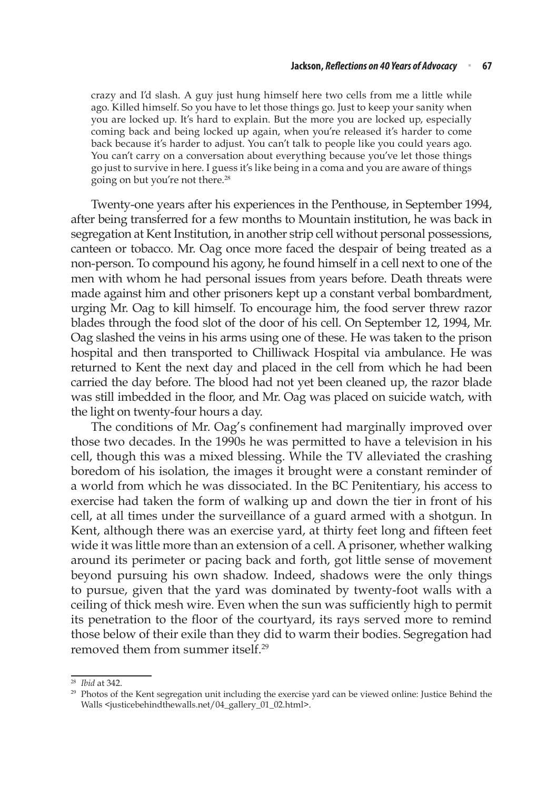crazy and I'd slash. A guy just hung himself here two cells from me a little while ago. Killed himself. So you have to let those things go. Just to keep your sanity when you are locked up. It's hard to explain. But the more you are locked up, especially coming back and being locked up again, when you're released it's harder to come back because it's harder to adjust. You can't talk to people like you could years ago. You can't carry on a conversation about everything because you've let those things go just to survive in here. I guess it's like being in a coma and you are aware of things going on but you're not there.<sup>28</sup>

Twenty-one years after his experiences in the Penthouse, in September 1994, after being transferred for a few months to Mountain institution, he was back in segregation at Kent Institution, in another strip cell without personal possessions, canteen or tobacco. Mr. Oag once more faced the despair of being treated as a non-person. To compound his agony, he found himself in a cell next to one of the men with whom he had personal issues from years before. Death threats were made against him and other prisoners kept up a constant verbal bombardment, urging Mr. Oag to kill himself. To encourage him, the food server threw razor blades through the food slot of the door of his cell. On September 12, 1994, Mr. Oag slashed the veins in his arms using one of these. He was taken to the prison hospital and then transported to Chilliwack Hospital via ambulance. He was returned to Kent the next day and placed in the cell from which he had been carried the day before. The blood had not yet been cleaned up, the razor blade was still imbedded in the floor, and Mr. Oag was placed on suicide watch, with the light on twenty-four hours a day.

The conditions of Mr. Oag's confinement had marginally improved over those two decades. In the 1990s he was permitted to have a television in his cell, though this was a mixed blessing. While the TV alleviated the crashing boredom of his isolation, the images it brought were a constant reminder of a world from which he was dissociated. In the BC Penitentiary, his access to exercise had taken the form of walking up and down the tier in front of his cell, at all times under the surveillance of a guard armed with a shotgun. In Kent, although there was an exercise yard, at thirty feet long and fifteen feet wide it was little more than an extension of a cell. A prisoner, whether walking around its perimeter or pacing back and forth, got little sense of movement beyond pursuing his own shadow. Indeed, shadows were the only things to pursue, given that the yard was dominated by twenty-foot walls with a ceiling of thick mesh wire. Even when the sun was sufficiently high to permit its penetration to the floor of the courtyard, its rays served more to remind those below of their exile than they did to warm their bodies. Segregation had removed them from summer itself.<sup>29</sup>

<sup>28</sup> *Ibid* at 342.

<sup>29</sup> Photos of the Kent segregation unit including the exercise yard can be viewed online: Justice Behind the Walls <justicebehindthewalls.net/04\_gallery\_01\_02.html>.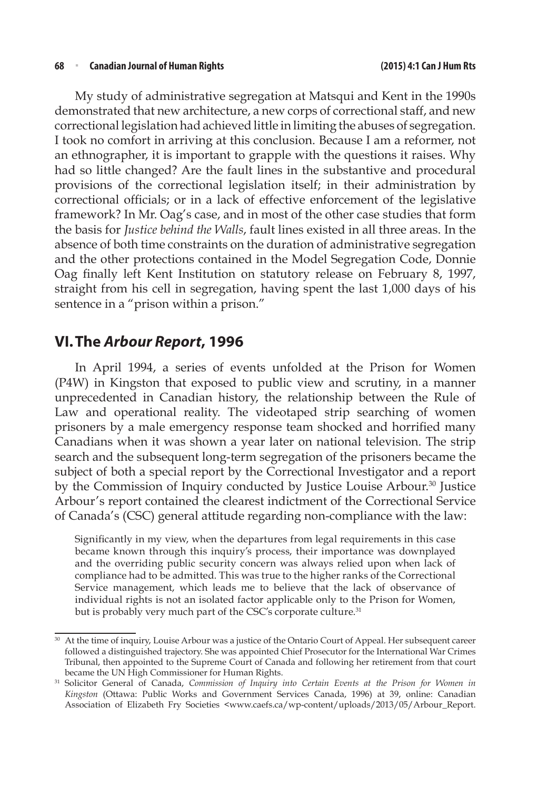My study of administrative segregation at Matsqui and Kent in the 1990s demonstrated that new architecture, a new corps of correctional staff, and new correctional legislation had achieved little in limiting the abuses of segregation. I took no comfort in arriving at this conclusion. Because I am a reformer, not an ethnographer, it is important to grapple with the questions it raises. Why had so little changed? Are the fault lines in the substantive and procedural provisions of the correctional legislation itself; in their administration by correctional officials; or in a lack of effective enforcement of the legislative framework? In Mr. Oag's case, and in most of the other case studies that form the basis for *Justice behind the Walls*, fault lines existed in all three areas. In the absence of both time constraints on the duration of administrative segregation and the other protections contained in the Model Segregation Code, Donnie Oag finally left Kent Institution on statutory release on February 8, 1997, straight from his cell in segregation, having spent the last 1,000 days of his sentence in a "prison within a prison."

## **VI.The** *Arbour Report***, 1996**

In April 1994, a series of events unfolded at the Prison for Women (P4W) in Kingston that exposed to public view and scrutiny, in a manner unprecedented in Canadian history, the relationship between the Rule of Law and operational reality. The videotaped strip searching of women prisoners by a male emergency response team shocked and horrified many Canadians when it was shown a year later on national television. The strip search and the subsequent long-term segregation of the prisoners became the subject of both a special report by the Correctional Investigator and a report by the Commission of Inquiry conducted by Justice Louise Arbour.<sup>30</sup> Justice Arbour's report contained the clearest indictment of the Correctional Service of Canada's (CSC) general attitude regarding non-compliance with the law:

Significantly in my view, when the departures from legal requirements in this case became known through this inquiry's process, their importance was downplayed and the overriding public security concern was always relied upon when lack of compliance had to be admitted. This was true to the higher ranks of the Correctional Service management, which leads me to believe that the lack of observance of individual rights is not an isolated factor applicable only to the Prison for Women, but is probably very much part of the CSC's corporate culture.<sup>31</sup>

<sup>30</sup> At the time of inquiry, Louise Arbour was a justice of the Ontario Court of Appeal. Her subsequent career followed a distinguished trajectory. She was appointed Chief Prosecutor for the International War Crimes Tribunal, then appointed to the Supreme Court of Canada and following her retirement from that court became the UN High Commissioner for Human Rights.

<sup>31</sup> Solicitor General of Canada, *Commission of Inquiry into Certain Events at the Prison for Women in Kingston* (Ottawa: Public Works and Government Services Canada, 1996) at 39, online: Canadian Association of Elizabeth Fry Societies <www.caefs.ca/wp-content/uploads/2013/05/Arbour\_Report.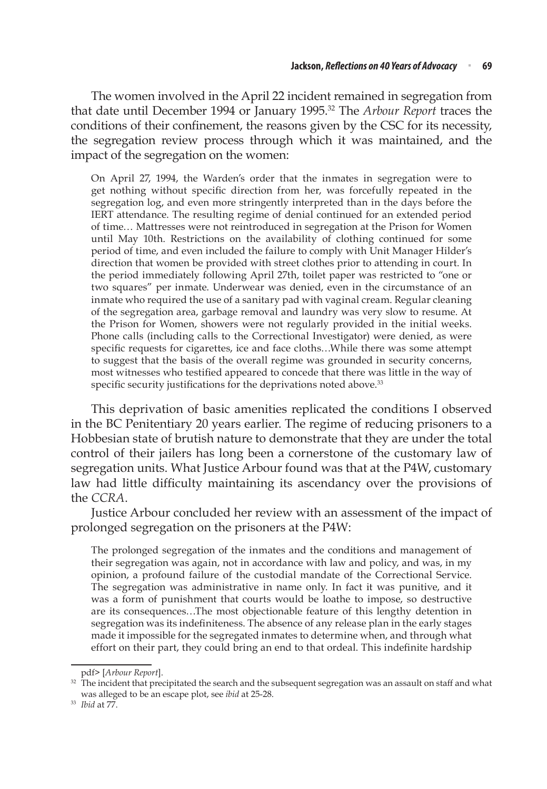The women involved in the April 22 incident remained in segregation from that date until December 1994 or January 1995.32 The *Arbour Report* traces the conditions of their confinement, the reasons given by the CSC for its necessity, the segregation review process through which it was maintained, and the impact of the segregation on the women:

On April 27, 1994, the Warden's order that the inmates in segregation were to get nothing without specific direction from her, was forcefully repeated in the segregation log, and even more stringently interpreted than in the days before the IERT attendance. The resulting regime of denial continued for an extended period of time… Mattresses were not reintroduced in segregation at the Prison for Women until May 10th. Restrictions on the availability of clothing continued for some period of time, and even included the failure to comply with Unit Manager Hilder's direction that women be provided with street clothes prior to attending in court. In the period immediately following April 27th, toilet paper was restricted to "one or two squares" per inmate. Underwear was denied, even in the circumstance of an inmate who required the use of a sanitary pad with vaginal cream. Regular cleaning of the segregation area, garbage removal and laundry was very slow to resume. At the Prison for Women, showers were not regularly provided in the initial weeks. Phone calls (including calls to the Correctional Investigator) were denied, as were specific requests for cigarettes, ice and face cloths…While there was some attempt to suggest that the basis of the overall regime was grounded in security concerns, most witnesses who testified appeared to concede that there was little in the way of specific security justifications for the deprivations noted above.<sup>33</sup>

This deprivation of basic amenities replicated the conditions I observed in the BC Penitentiary 20 years earlier. The regime of reducing prisoners to a Hobbesian state of brutish nature to demonstrate that they are under the total control of their jailers has long been a cornerstone of the customary law of segregation units. What Justice Arbour found was that at the P4W, customary law had little difficulty maintaining its ascendancy over the provisions of the *CCRA*.

Justice Arbour concluded her review with an assessment of the impact of prolonged segregation on the prisoners at the P4W:

The prolonged segregation of the inmates and the conditions and management of their segregation was again, not in accordance with law and policy, and was, in my opinion, a profound failure of the custodial mandate of the Correctional Service. The segregation was administrative in name only. In fact it was punitive, and it was a form of punishment that courts would be loathe to impose, so destructive are its consequences…The most objectionable feature of this lengthy detention in segregation was its indefiniteness. The absence of any release plan in the early stages made it impossible for the segregated inmates to determine when, and through what effort on their part, they could bring an end to that ordeal. This indefinite hardship

pdf> [*Arbour Report*].

 $32$  The incident that precipitated the search and the subsequent segregation was an assault on staff and what was alleged to be an escape plot, see *ibid* at 25-28.

<sup>33</sup> *Ibid* at 77.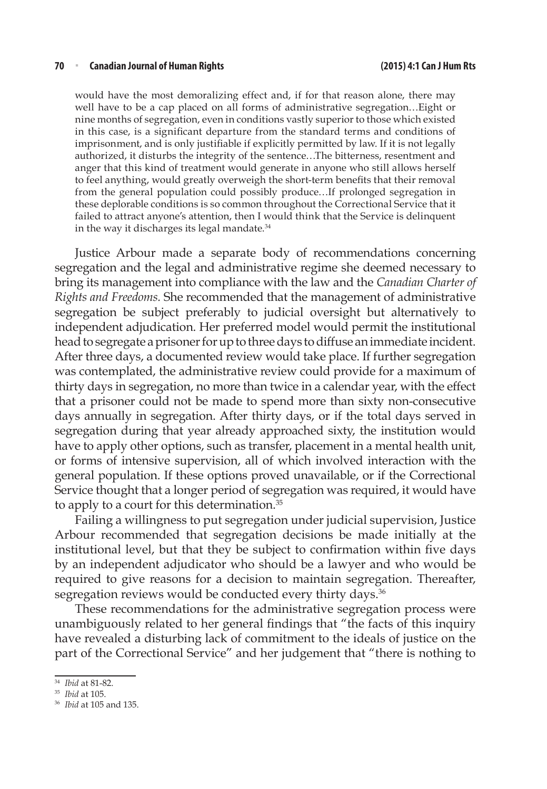would have the most demoralizing effect and, if for that reason alone, there may well have to be a cap placed on all forms of administrative segregation…Eight or nine months of segregation, even in conditions vastly superior to those which existed in this case, is a significant departure from the standard terms and conditions of imprisonment, and is only justifiable if explicitly permitted by law. If it is not legally authorized, it disturbs the integrity of the sentence…The bitterness, resentment and anger that this kind of treatment would generate in anyone who still allows herself to feel anything, would greatly overweigh the short-term benefits that their removal from the general population could possibly produce…If prolonged segregation in these deplorable conditions is so common throughout the Correctional Service that it failed to attract anyone's attention, then I would think that the Service is delinquent in the way it discharges its legal mandate.<sup>34</sup>

Justice Arbour made a separate body of recommendations concerning segregation and the legal and administrative regime she deemed necessary to bring its management into compliance with the law and the *Canadian Charter of Rights and Freedoms.* She recommended that the management of administrative segregation be subject preferably to judicial oversight but alternatively to independent adjudication. Her preferred model would permit the institutional head to segregate a prisoner for up to three days to diffuse an immediate incident. After three days, a documented review would take place. If further segregation was contemplated, the administrative review could provide for a maximum of thirty days in segregation, no more than twice in a calendar year, with the effect that a prisoner could not be made to spend more than sixty non-consecutive days annually in segregation. After thirty days, or if the total days served in segregation during that year already approached sixty, the institution would have to apply other options, such as transfer, placement in a mental health unit, or forms of intensive supervision, all of which involved interaction with the general population. If these options proved unavailable, or if the Correctional Service thought that a longer period of segregation was required, it would have to apply to a court for this determination.<sup>35</sup>

Failing a willingness to put segregation under judicial supervision, Justice Arbour recommended that segregation decisions be made initially at the institutional level, but that they be subject to confirmation within five days by an independent adjudicator who should be a lawyer and who would be required to give reasons for a decision to maintain segregation. Thereafter, segregation reviews would be conducted every thirty days.<sup>36</sup>

These recommendations for the administrative segregation process were unambiguously related to her general findings that "the facts of this inquiry have revealed a disturbing lack of commitment to the ideals of justice on the part of the Correctional Service" and her judgement that "there is nothing to

<sup>34</sup> *Ibid* at 81-82.

<sup>35</sup> *Ibid* at 105.

<sup>36</sup> *Ibid* at 105 and 135.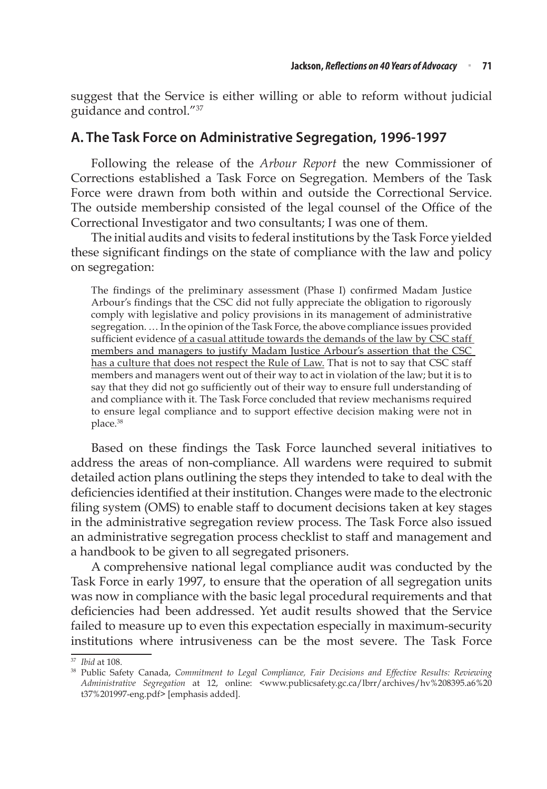suggest that the Service is either willing or able to reform without judicial guidance and control."37

## **A. The Task Force on Administrative Segregation, 1996-1997**

Following the release of the *Arbour Report* the new Commissioner of Corrections established a Task Force on Segregation. Members of the Task Force were drawn from both within and outside the Correctional Service. The outside membership consisted of the legal counsel of the Office of the Correctional Investigator and two consultants; I was one of them.

The initial audits and visits to federal institutions by the Task Force yielded these significant findings on the state of compliance with the law and policy on segregation:

The findings of the preliminary assessment (Phase I) confirmed Madam Justice Arbour's findings that the CSC did not fully appreciate the obligation to rigorously comply with legislative and policy provisions in its management of administrative segregation. … In the opinion of the Task Force, the above compliance issues provided sufficient evidence of a casual attitude towards the demands of the law by CSC staff members and managers to justify Madam Justice Arbour's assertion that the CSC has a culture that does not respect the Rule of Law. That is not to say that CSC staff members and managers went out of their way to act in violation of the law; but it is to say that they did not go sufficiently out of their way to ensure full understanding of and compliance with it. The Task Force concluded that review mechanisms required to ensure legal compliance and to support effective decision making were not in place.<sup>38</sup>

Based on these findings the Task Force launched several initiatives to address the areas of non-compliance. All wardens were required to submit detailed action plans outlining the steps they intended to take to deal with the deficiencies identified at their institution. Changes were made to the electronic filing system (OMS) to enable staff to document decisions taken at key stages in the administrative segregation review process. The Task Force also issued an administrative segregation process checklist to staff and management and a handbook to be given to all segregated prisoners.

A comprehensive national legal compliance audit was conducted by the Task Force in early 1997, to ensure that the operation of all segregation units was now in compliance with the basic legal procedural requirements and that deficiencies had been addressed. Yet audit results showed that the Service failed to measure up to even this expectation especially in maximum-security institutions where intrusiveness can be the most severe. The Task Force

<sup>37</sup> *Ibid* at 108.

<sup>38</sup> Public Safety Canada, *Commitment to Legal Compliance, Fair Decisions and Effective Results: Reviewing Administrative Segregation* at 12, online: <www.publicsafety.gc.ca/lbrr/archives/hv%208395.a6%20 t37%201997-eng.pdf> [emphasis added].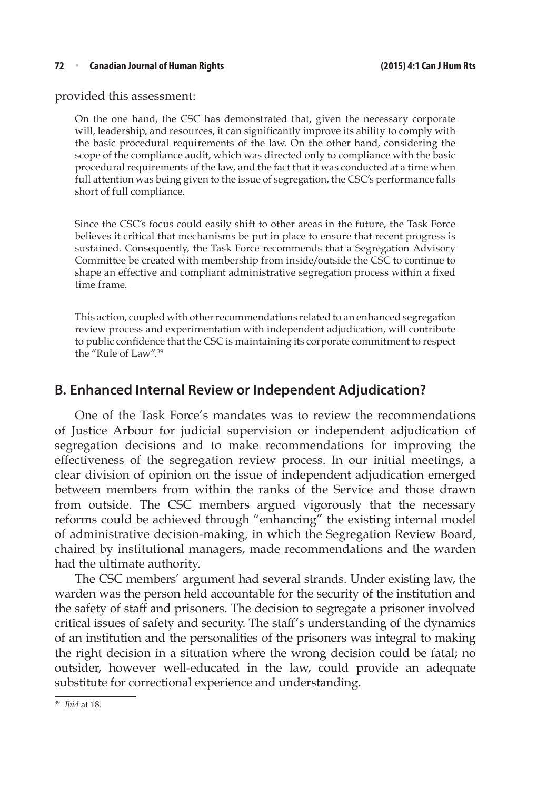provided this assessment:

On the one hand, the CSC has demonstrated that, given the necessary corporate will, leadership, and resources, it can significantly improve its ability to comply with the basic procedural requirements of the law. On the other hand, considering the scope of the compliance audit, which was directed only to compliance with the basic procedural requirements of the law, and the fact that it was conducted at a time when full attention was being given to the issue of segregation, the CSC's performance falls short of full compliance.

Since the CSC's focus could easily shift to other areas in the future, the Task Force believes it critical that mechanisms be put in place to ensure that recent progress is sustained. Consequently, the Task Force recommends that a Segregation Advisory Committee be created with membership from inside/outside the CSC to continue to shape an effective and compliant administrative segregation process within a fixed time frame.

This action, coupled with other recommendations related to an enhanced segregation review process and experimentation with independent adjudication, will contribute to public confidence that the CSC is maintaining its corporate commitment to respect the "Rule of Law".<sup>39</sup>

### **B. Enhanced Internal Review or Independent Adjudication?**

One of the Task Force's mandates was to review the recommendations of Justice Arbour for judicial supervision or independent adjudication of segregation decisions and to make recommendations for improving the effectiveness of the segregation review process. In our initial meetings, a clear division of opinion on the issue of independent adjudication emerged between members from within the ranks of the Service and those drawn from outside. The CSC members argued vigorously that the necessary reforms could be achieved through "enhancing" the existing internal model of administrative decision-making, in which the Segregation Review Board, chaired by institutional managers, made recommendations and the warden had the ultimate authority.

The CSC members' argument had several strands. Under existing law, the warden was the person held accountable for the security of the institution and the safety of staff and prisoners. The decision to segregate a prisoner involved critical issues of safety and security. The staff's understanding of the dynamics of an institution and the personalities of the prisoners was integral to making the right decision in a situation where the wrong decision could be fatal; no outsider, however well-educated in the law, could provide an adequate substitute for correctional experience and understanding.

<sup>39</sup> *Ibid* at 18.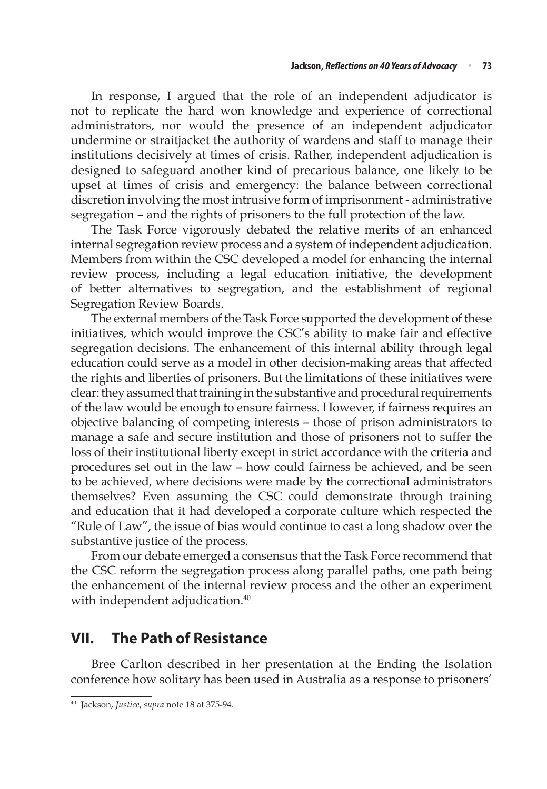In response, I argued that the role of an independent adjudicator is not to replicate the hard won knowledge and experience of correctional administrators, nor would the presence of an independent adjudicator undermine or straitjacket the authority of wardens and staff to manage their institutions decisively at times of crisis. Rather, independent adjudication is designed to safeguard another kind of precarious balance, one likely to be upset at times of crisis and emergency: the balance between correctional discretion involving the most intrusive form of imprisonment - administrative segregation – and the rights of prisoners to the full protection of the law.

The Task Force vigorously debated the relative merits of an enhanced internal segregation review process and a system of independent adjudication. Members from within the CSC developed a model for enhancing the internal review process, including a legal education initiative, the development of better alternatives to segregation, and the establishment of regional Segregation Review Boards.

The external members of the Task Force supported the development of these initiatives, which would improve the CSC's ability to make fair and effective segregation decisions. The enhancement of this internal ability through legal education could serve as a model in other decision-making areas that affected the rights and liberties of prisoners. But the limitations of these initiatives were clear: they assumed that training in the substantive and procedural requirements of the law would be enough to ensure fairness. However, if fairness requires an objective balancing of competing interests – those of prison administrators to manage a safe and secure institution and those of prisoners not to suffer the loss of their institutional liberty except in strict accordance with the criteria and procedures set out in the law – how could fairness be achieved, and be seen to be achieved, where decisions were made by the correctional administrators themselves? Even assuming the CSC could demonstrate through training and education that it had developed a corporate culture which respected the "Rule of Law", the issue of bias would continue to cast a long shadow over the substantive justice of the process.

From our debate emerged a consensus that the Task Force recommend that the CSC reform the segregation process along parallel paths, one path being the enhancement of the internal review process and the other an experiment with independent adjudication.<sup>40</sup>

## **VII. The Path of Resistance**

Bree Carlton described in her presentation at the Ending the Isolation conference how solitary has been used in Australia as a response to prisoners'

<sup>40</sup> Jackson, *Justice*, *supra* note 18 at 375-94.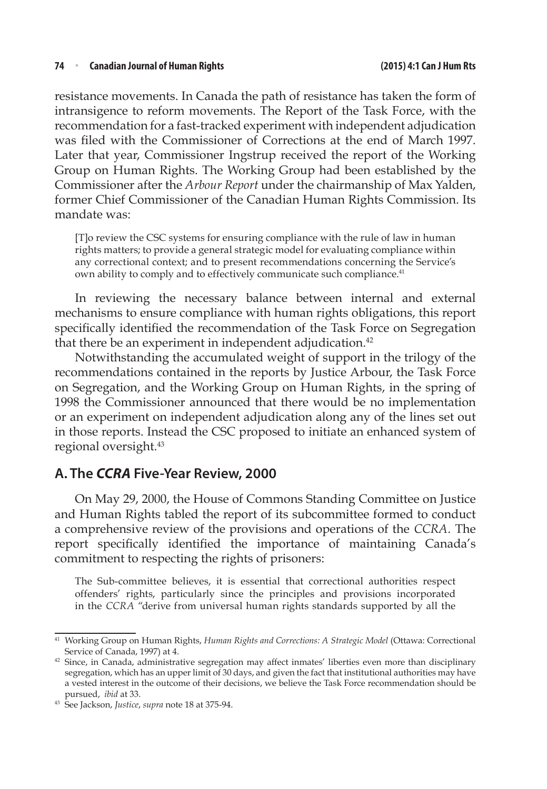resistance movements. In Canada the path of resistance has taken the form of intransigence to reform movements. The Report of the Task Force, with the recommendation for a fast-tracked experiment with independent adjudication was filed with the Commissioner of Corrections at the end of March 1997. Later that year, Commissioner Ingstrup received the report of the Working Group on Human Rights. The Working Group had been established by the Commissioner after the *Arbour Report* under the chairmanship of Max Yalden, former Chief Commissioner of the Canadian Human Rights Commission. Its mandate was:

[T]o review the CSC systems for ensuring compliance with the rule of law in human rights matters; to provide a general strategic model for evaluating compliance within any correctional context; and to present recommendations concerning the Service's own ability to comply and to effectively communicate such compliance.<sup>41</sup>

In reviewing the necessary balance between internal and external mechanisms to ensure compliance with human rights obligations, this report specifically identified the recommendation of the Task Force on Segregation that there be an experiment in independent adjudication.<sup>42</sup>

Notwithstanding the accumulated weight of support in the trilogy of the recommendations contained in the reports by Justice Arbour, the Task Force on Segregation, and the Working Group on Human Rights, in the spring of 1998 the Commissioner announced that there would be no implementation or an experiment on independent adjudication along any of the lines set out in those reports. Instead the CSC proposed to initiate an enhanced system of regional oversight.43

## **A. The** *CCRA* **Five-Year Review, 2000**

On May 29, 2000, the House of Commons Standing Committee on Justice and Human Rights tabled the report of its subcommittee formed to conduct a comprehensive review of the provisions and operations of the *CCRA*. The report specifically identified the importance of maintaining Canada's commitment to respecting the rights of prisoners:

The Sub-committee believes, it is essential that correctional authorities respect offenders' rights, particularly since the principles and provisions incorporated in the *CCRA* "derive from universal human rights standards supported by all the

<sup>41</sup> Working Group on Human Rights, *Human Rights and Corrections: A Strategic Model* (Ottawa: Correctional Service of Canada, 1997) at 4.

<sup>&</sup>lt;sup>42</sup> Since, in Canada, administrative segregation may affect inmates' liberties even more than disciplinary segregation, which has an upper limit of 30 days, and given the fact that institutional authorities may have a vested interest in the outcome of their decisions, we believe the Task Force recommendation should be pursued, *ibid* at 33.

<sup>43</sup> See Jackson, *Justice*, *supra* note 18 at 375-94.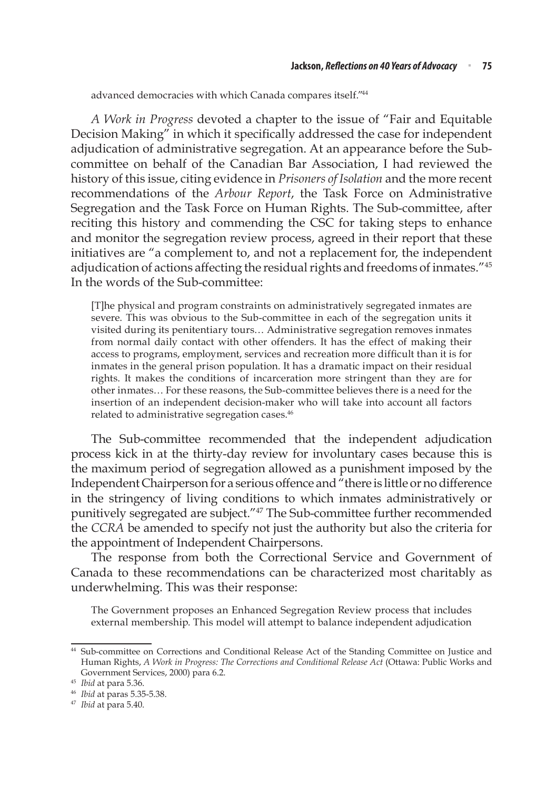advanced democracies with which Canada compares itself."44

*A Work in Progress* devoted a chapter to the issue of "Fair and Equitable Decision Making" in which it specifically addressed the case for independent adjudication of administrative segregation. At an appearance before the Subcommittee on behalf of the Canadian Bar Association, I had reviewed the history of this issue, citing evidence in *Prisoners of Isolation* and the more recent recommendations of the *Arbour Report*, the Task Force on Administrative Segregation and the Task Force on Human Rights. The Sub-committee, after reciting this history and commending the CSC for taking steps to enhance and monitor the segregation review process, agreed in their report that these initiatives are "a complement to, and not a replacement for, the independent adjudication of actions affecting the residual rights and freedoms of inmates."<sup>45</sup> In the words of the Sub-committee:

[T]he physical and program constraints on administratively segregated inmates are severe. This was obvious to the Sub-committee in each of the segregation units it visited during its penitentiary tours… Administrative segregation removes inmates from normal daily contact with other offenders. It has the effect of making their access to programs, employment, services and recreation more difficult than it is for inmates in the general prison population. It has a dramatic impact on their residual rights. It makes the conditions of incarceration more stringent than they are for other inmates… For these reasons, the Sub-committee believes there is a need for the insertion of an independent decision-maker who will take into account all factors related to administrative segregation cases.<sup>46</sup>

The Sub-committee recommended that the independent adjudication process kick in at the thirty-day review for involuntary cases because this is the maximum period of segregation allowed as a punishment imposed by the Independent Chairperson for a serious offence and "there is little or no difference in the stringency of living conditions to which inmates administratively or punitively segregated are subject."47 The Sub-committee further recommended the *CCRA* be amended to specify not just the authority but also the criteria for the appointment of Independent Chairpersons.

The response from both the Correctional Service and Government of Canada to these recommendations can be characterized most charitably as underwhelming. This was their response:

The Government proposes an Enhanced Segregation Review process that includes external membership. This model will attempt to balance independent adjudication

<sup>44</sup> Sub-committee on Corrections and Conditional Release Act of the Standing Committee on Justice and Human Rights, *A Work in Progress: The Corrections and Conditional Release Act* (Ottawa: Public Works and Government Services, 2000) para 6.2.

<sup>45</sup> *Ibid* at para 5.36.

<sup>46</sup> *Ibid* at paras 5.35-5.38.

<sup>47</sup> *Ibid* at para 5.40.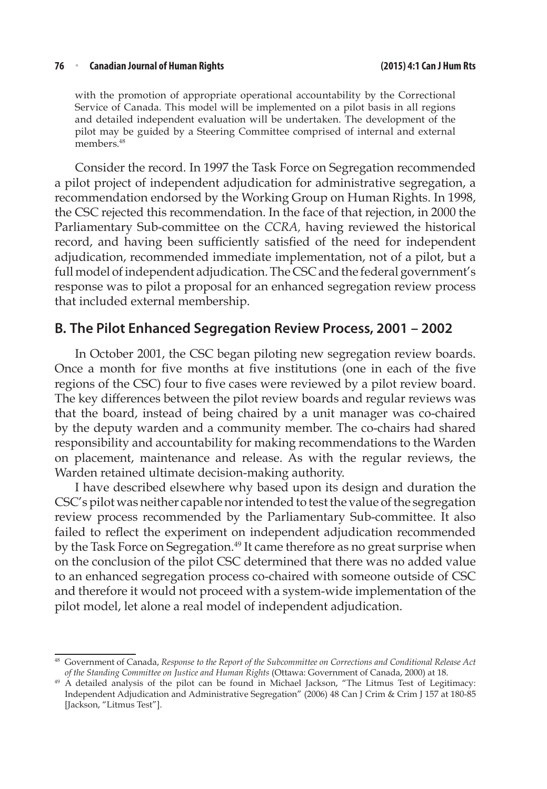with the promotion of appropriate operational accountability by the Correctional Service of Canada. This model will be implemented on a pilot basis in all regions and detailed independent evaluation will be undertaken. The development of the pilot may be guided by a Steering Committee comprised of internal and external members $48$ 

Consider the record. In 1997 the Task Force on Segregation recommended a pilot project of independent adjudication for administrative segregation, a recommendation endorsed by the Working Group on Human Rights. In 1998, the CSC rejected this recommendation. In the face of that rejection, in 2000 the Parliamentary Sub-committee on the *CCRA,* having reviewed the historical record, and having been sufficiently satisfied of the need for independent adjudication, recommended immediate implementation, not of a pilot, but a full model of independent adjudication. The CSC and the federal government's response was to pilot a proposal for an enhanced segregation review process that included external membership.

## **B. The Pilot Enhanced Segregation Review Process, 2001 – 2002**

In October 2001, the CSC began piloting new segregation review boards. Once a month for five months at five institutions (one in each of the five regions of the CSC) four to five cases were reviewed by a pilot review board. The key differences between the pilot review boards and regular reviews was that the board, instead of being chaired by a unit manager was co-chaired by the deputy warden and a community member. The co-chairs had shared responsibility and accountability for making recommendations to the Warden on placement, maintenance and release. As with the regular reviews, the Warden retained ultimate decision-making authority.

I have described elsewhere why based upon its design and duration the CSC's pilot was neither capable nor intended to test the value of the segregation review process recommended by the Parliamentary Sub-committee. It also failed to reflect the experiment on independent adjudication recommended by the Task Force on Segregation.<sup>49</sup> It came therefore as no great surprise when on the conclusion of the pilot CSC determined that there was no added value to an enhanced segregation process co-chaired with someone outside of CSC and therefore it would not proceed with a system-wide implementation of the pilot model, let alone a real model of independent adjudication.

<sup>48</sup> Government of Canada, *Response to the Report of the Subcommittee on Corrections and Conditional Release Act of the Standing Committee on Justice and Human Rights* (Ottawa: Government of Canada, 2000) at 18.

<sup>49</sup> A detailed analysis of the pilot can be found in Michael Jackson, "The Litmus Test of Legitimacy: Independent Adjudication and Administrative Segregation" (2006) 48 Can J Crim & Crim J 157 at 180-85 [Jackson, "Litmus Test"].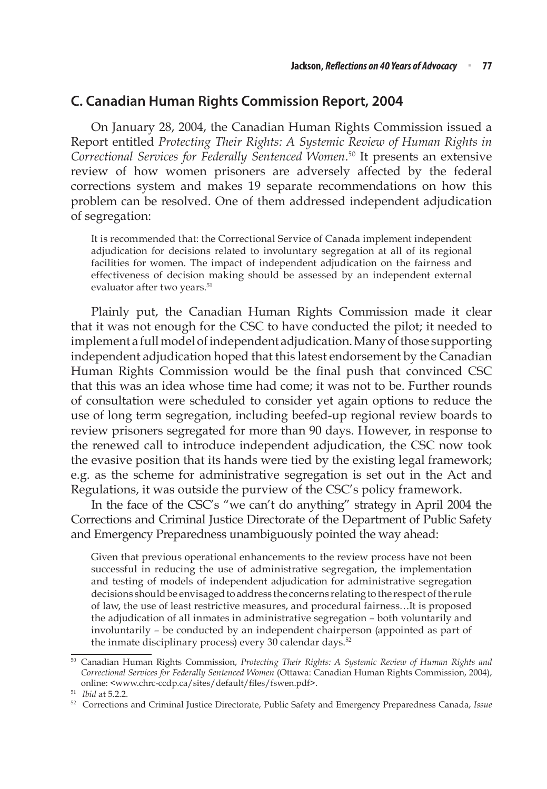### **C. Canadian Human Rights Commission Report, 2004**

On January 28, 2004, the Canadian Human Rights Commission issued a Report entitled *Protecting Their Rights: A Systemic Review of Human Rights in Correctional Services for Federally Sentenced Women*. <sup>50</sup> It presents an extensive review of how women prisoners are adversely affected by the federal corrections system and makes 19 separate recommendations on how this problem can be resolved. One of them addressed independent adjudication of segregation:

It is recommended that: the Correctional Service of Canada implement independent adjudication for decisions related to involuntary segregation at all of its regional facilities for women. The impact of independent adjudication on the fairness and effectiveness of decision making should be assessed by an independent external evaluator after two years.<sup>51</sup>

Plainly put, the Canadian Human Rights Commission made it clear that it was not enough for the CSC to have conducted the pilot; it needed to implement a full model of independent adjudication. Many of those supporting independent adjudication hoped that this latest endorsement by the Canadian Human Rights Commission would be the final push that convinced CSC that this was an idea whose time had come; it was not to be. Further rounds of consultation were scheduled to consider yet again options to reduce the use of long term segregation, including beefed-up regional review boards to review prisoners segregated for more than 90 days. However, in response to the renewed call to introduce independent adjudication, the CSC now took the evasive position that its hands were tied by the existing legal framework; e.g. as the scheme for administrative segregation is set out in the Act and Regulations, it was outside the purview of the CSC's policy framework.

In the face of the CSC's "we can't do anything" strategy in April 2004 the Corrections and Criminal Justice Directorate of the Department of Public Safety and Emergency Preparedness unambiguously pointed the way ahead:

Given that previous operational enhancements to the review process have not been successful in reducing the use of administrative segregation, the implementation and testing of models of independent adjudication for administrative segregation decisions should be envisaged to address the concerns relating to the respect of the rule of law, the use of least restrictive measures, and procedural fairness…It is proposed the adjudication of all inmates in administrative segregation – both voluntarily and involuntarily – be conducted by an independent chairperson (appointed as part of the inmate disciplinary process) every 30 calendar days.<sup>52</sup>

<sup>50</sup> Canadian Human Rights Commission, *Protecting Their Rights: A Systemic Review of Human Rights and Correctional Services for Federally Sentenced Women* (Ottawa: Canadian Human Rights Commission, 2004), online: <www.chrc-ccdp.ca/sites/default/files/fswen.pdf>.

<sup>51</sup> *Ibid* at 5.2.2.

<sup>52</sup> Corrections and Criminal Justice Directorate, Public Safety and Emergency Preparedness Canada, *Issue*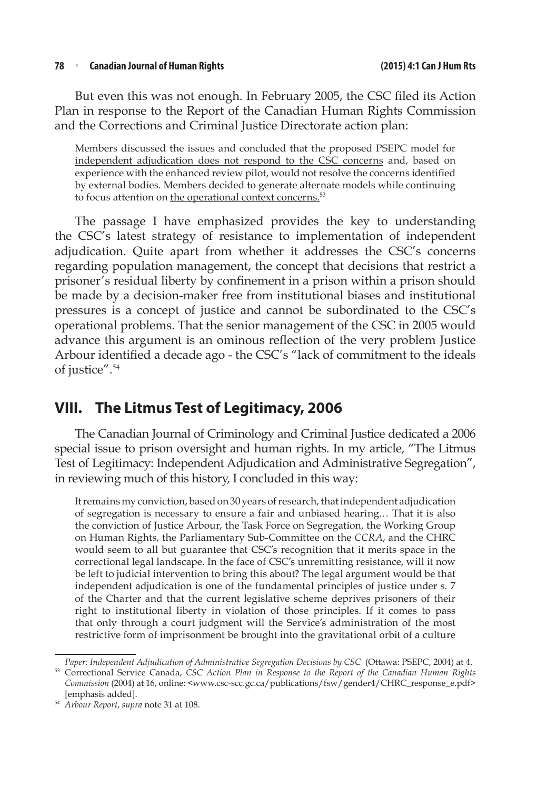But even this was not enough. In February 2005, the CSC filed its Action Plan in response to the Report of the Canadian Human Rights Commission and the Corrections and Criminal Justice Directorate action plan:

Members discussed the issues and concluded that the proposed PSEPC model for independent adjudication does not respond to the CSC concerns and, based on experience with the enhanced review pilot, would not resolve the concerns identified by external bodies. Members decided to generate alternate models while continuing to focus attention on the operational context concerns.<sup>53</sup>

The passage I have emphasized provides the key to understanding the CSC's latest strategy of resistance to implementation of independent adjudication. Quite apart from whether it addresses the CSC's concerns regarding population management, the concept that decisions that restrict a prisoner's residual liberty by confinement in a prison within a prison should be made by a decision-maker free from institutional biases and institutional pressures is a concept of justice and cannot be subordinated to the CSC's operational problems. That the senior management of the CSC in 2005 would advance this argument is an ominous reflection of the very problem Justice Arbour identified a decade ago - the CSC's "lack of commitment to the ideals of justice".<sup>54</sup>

## **VIII. The Litmus Test of Legitimacy, 2006**

The Canadian Journal of Criminology and Criminal Justice dedicated a 2006 special issue to prison oversight and human rights. In my article, "The Litmus Test of Legitimacy: Independent Adjudication and Administrative Segregation", in reviewing much of this history, I concluded in this way:

It remains my conviction, based on 30 years of research, that independent adjudication of segregation is necessary to ensure a fair and unbiased hearing… That it is also the conviction of Justice Arbour, the Task Force on Segregation, the Working Group on Human Rights, the Parliamentary Sub-Committee on the *CCRA*, and the CHRC would seem to all but guarantee that CSC's recognition that it merits space in the correctional legal landscape. In the face of CSC's unremitting resistance, will it now be left to judicial intervention to bring this about? The legal argument would be that independent adjudication is one of the fundamental principles of justice under s. 7 of the Charter and that the current legislative scheme deprives prisoners of their right to institutional liberty in violation of those principles. If it comes to pass that only through a court judgment will the Service's administration of the most restrictive form of imprisonment be brought into the gravitational orbit of a culture

*Paper: Independent Adjudication of Administrative Segregation Decisions by CSC* (Ottawa: PSEPC, 2004) at 4.

<sup>53</sup> Correctional Service Canada, *CSC Action Plan in Response to the Report of the Canadian Human Rights Commission* (2004) at 16, online: <www.csc-scc.gc.ca/publications/fsw/gender4/CHRC\_response\_e.pdf> [emphasis added].

<sup>54</sup> *Arbour Report*, *supra* note 31 at 108.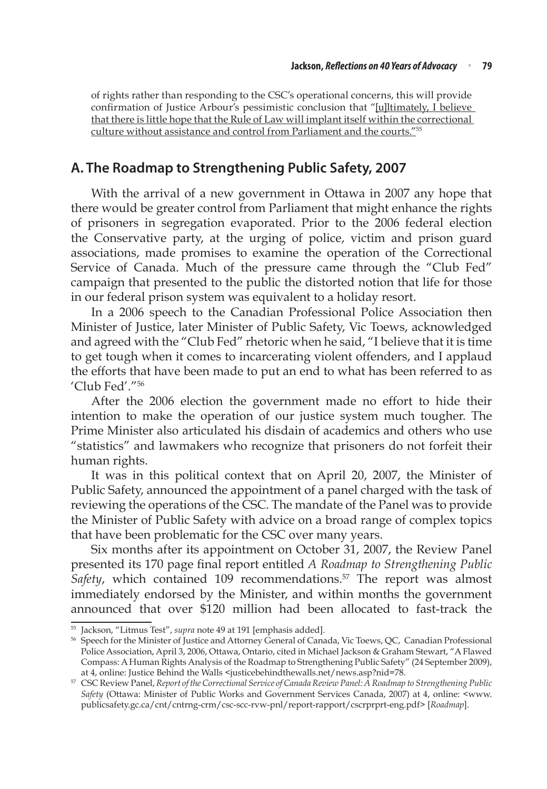of rights rather than responding to the CSC's operational concerns, this will provide confirmation of Justice Arbour's pessimistic conclusion that "[u]ltimately, I believe that there is little hope that the Rule of Law will implant itself within the correctional culture without assistance and control from Parliament and the courts."<sup>55</sup>

## **A. The Roadmap to Strengthening Public Safety, 2007**

With the arrival of a new government in Ottawa in 2007 any hope that there would be greater control from Parliament that might enhance the rights of prisoners in segregation evaporated. Prior to the 2006 federal election the Conservative party, at the urging of police, victim and prison guard associations, made promises to examine the operation of the Correctional Service of Canada. Much of the pressure came through the "Club Fed" campaign that presented to the public the distorted notion that life for those in our federal prison system was equivalent to a holiday resort.

In a 2006 speech to the Canadian Professional Police Association then Minister of Justice, later Minister of Public Safety, Vic Toews, acknowledged and agreed with the "Club Fed" rhetoric when he said, "I believe that it is time to get tough when it comes to incarcerating violent offenders, and I applaud the efforts that have been made to put an end to what has been referred to as 'Club Fed'."<sup>56</sup>

After the 2006 election the government made no effort to hide their intention to make the operation of our justice system much tougher. The Prime Minister also articulated his disdain of academics and others who use "statistics" and lawmakers who recognize that prisoners do not forfeit their human rights.

It was in this political context that on April 20, 2007, the Minister of Public Safety, announced the appointment of a panel charged with the task of reviewing the operations of the CSC. The mandate of the Panel was to provide the Minister of Public Safety with advice on a broad range of complex topics that have been problematic for the CSC over many years.

Six months after its appointment on October 31, 2007, the Review Panel presented its 170 page final report entitled *A Roadmap to Strengthening Public*  Safety, which contained 109 recommendations.<sup>57</sup> The report was almost immediately endorsed by the Minister, and within months the government announced that over \$120 million had been allocated to fast-track the

<sup>55</sup> Jackson, "Litmus Test", *supra* note 49 at 191 [emphasis added].

<sup>56</sup> Speech for the Minister of Justice and Attorney General of Canada, Vic Toews, QC, Canadian Professional Police Association, April 3, 2006, Ottawa, Ontario, cited in Michael Jackson & Graham Stewart, "A Flawed Compass: A Human Rights Analysis of the Roadmap to Strengthening Public Safety" (24 September 2009), at 4, online: Justice Behind the Walls <justicebehindthewalls.net/news.asp?nid=78.

<sup>57</sup> CSC Review Panel, *Report of the Correctional Service of Canada Review Panel: A Roadmap to Strengthening Public Safety* (Ottawa: Minister of Public Works and Government Services Canada, 2007) at 4, online: <www. publicsafety.gc.ca/cnt/cntrng-crm/csc-scc-rvw-pnl/report-rapport/cscrprprt-eng.pdf> [*Roadmap*].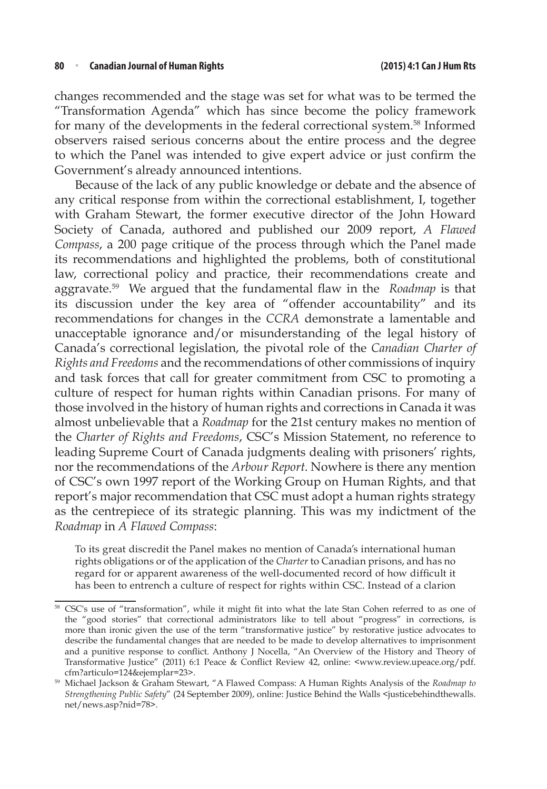changes recommended and the stage was set for what was to be termed the "Transformation Agenda" which has since become the policy framework for many of the developments in the federal correctional system.<sup>58</sup> Informed observers raised serious concerns about the entire process and the degree to which the Panel was intended to give expert advice or just confirm the Government's already announced intentions.

Because of the lack of any public knowledge or debate and the absence of any critical response from within the correctional establishment, I, together with Graham Stewart, the former executive director of the John Howard Society of Canada, authored and published our 2009 report, *A Flawed Compass*, a 200 page critique of the process through which the Panel made its recommendations and highlighted the problems, both of constitutional law, correctional policy and practice, their recommendations create and aggravate.59 We argued that the fundamental flaw in the *Roadmap* is that its discussion under the key area of "offender accountability" and its recommendations for changes in the *CCRA* demonstrate a lamentable and unacceptable ignorance and/or misunderstanding of the legal history of Canada's correctional legislation, the pivotal role of the *Canadian Charter of Rights and Freedoms* and the recommendations of other commissions of inquiry and task forces that call for greater commitment from CSC to promoting a culture of respect for human rights within Canadian prisons. For many of those involved in the history of human rights and corrections in Canada it was almost unbelievable that a *Roadmap* for the 21st century makes no mention of the *Charter of Rights and Freedoms*, CSC's Mission Statement, no reference to leading Supreme Court of Canada judgments dealing with prisoners' rights, nor the recommendations of the *Arbour Report*. Nowhere is there any mention of CSC's own 1997 report of the Working Group on Human Rights, and that report's major recommendation that CSC must adopt a human rights strategy as the centrepiece of its strategic planning. This was my indictment of the *Roadmap* in *A Flawed Compass*:

To its great discredit the Panel makes no mention of Canada's international human rights obligations or of the application of the *Charter* to Canadian prisons, and has no regard for or apparent awareness of the well-documented record of how difficult it has been to entrench a culture of respect for rights within CSC. Instead of a clarion

<sup>&</sup>lt;sup>58</sup> CSC's use of "transformation", while it might fit into what the late Stan Cohen referred to as one of the "good stories" that correctional administrators like to tell about "progress" in corrections, is more than ironic given the use of the term "transformative justice" by restorative justice advocates to describe the fundamental changes that are needed to be made to develop alternatives to imprisonment and a punitive response to conflict. Anthony J Nocella, "An Overview of the History and Theory of Transformative Justice" (2011) 6:1 Peace & Conflict Review 42, online: <www.review.upeace.org/pdf. cfm?articulo=124&ejemplar=23>.

<sup>59</sup> Michael Jackson & Graham Stewart, "A Flawed Compass: A Human Rights Analysis of the *Roadmap to Strengthening Public Safety*" (24 September 2009), online: Justice Behind the Walls <justicebehindthewalls. net/news.asp?nid=78>.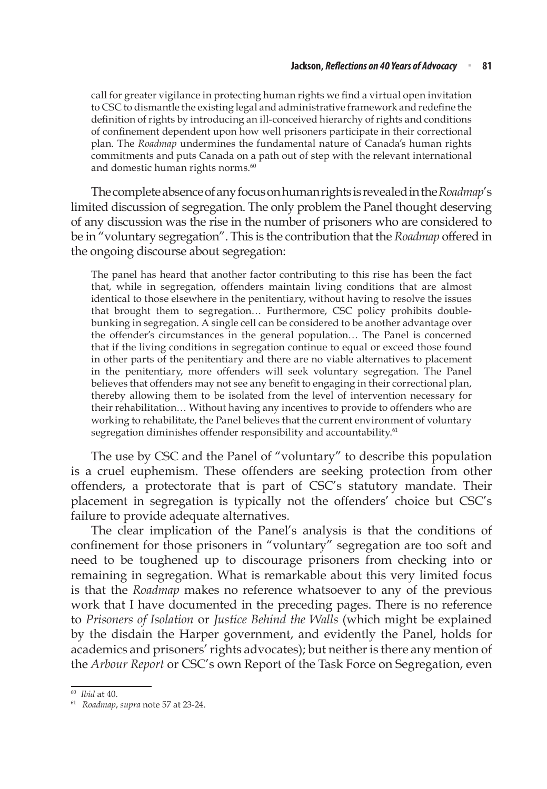call for greater vigilance in protecting human rights we find a virtual open invitation to CSC to dismantle the existing legal and administrative framework and redefine the definition of rights by introducing an ill-conceived hierarchy of rights and conditions of confinement dependent upon how well prisoners participate in their correctional plan. The *Roadmap* undermines the fundamental nature of Canada's human rights commitments and puts Canada on a path out of step with the relevant international and domestic human rights norms.<sup>60</sup>

The complete absence of any focus on human rights is revealed in the *Roadmap*'s limited discussion of segregation. The only problem the Panel thought deserving of any discussion was the rise in the number of prisoners who are considered to be in "voluntary segregation". This is the contribution that the *Roadmap* offered in the ongoing discourse about segregation:

The panel has heard that another factor contributing to this rise has been the fact that, while in segregation, offenders maintain living conditions that are almost identical to those elsewhere in the penitentiary, without having to resolve the issues that brought them to segregation… Furthermore, CSC policy prohibits doublebunking in segregation. A single cell can be considered to be another advantage over the offender's circumstances in the general population… The Panel is concerned that if the living conditions in segregation continue to equal or exceed those found in other parts of the penitentiary and there are no viable alternatives to placement in the penitentiary, more offenders will seek voluntary segregation. The Panel believes that offenders may not see any benefit to engaging in their correctional plan, thereby allowing them to be isolated from the level of intervention necessary for their rehabilitation… Without having any incentives to provide to offenders who are working to rehabilitate, the Panel believes that the current environment of voluntary segregation diminishes offender responsibility and accountability.<sup>61</sup>

The use by CSC and the Panel of "voluntary" to describe this population is a cruel euphemism. These offenders are seeking protection from other offenders, a protectorate that is part of CSC's statutory mandate. Their placement in segregation is typically not the offenders' choice but CSC's failure to provide adequate alternatives.

The clear implication of the Panel's analysis is that the conditions of confinement for those prisoners in "voluntary" segregation are too soft and need to be toughened up to discourage prisoners from checking into or remaining in segregation. What is remarkable about this very limited focus is that the *Roadmap* makes no reference whatsoever to any of the previous work that I have documented in the preceding pages. There is no reference to *Prisoners of Isolation* or *Justice Behind the Walls* (which might be explained by the disdain the Harper government, and evidently the Panel, holds for academics and prisoners' rights advocates); but neither is there any mention of the *Arbour Report* or CSC's own Report of the Task Force on Segregation, even

<sup>60</sup> *Ibid* at 40.

<sup>61</sup> *Roadmap*, *supra* note 57 at 23-24.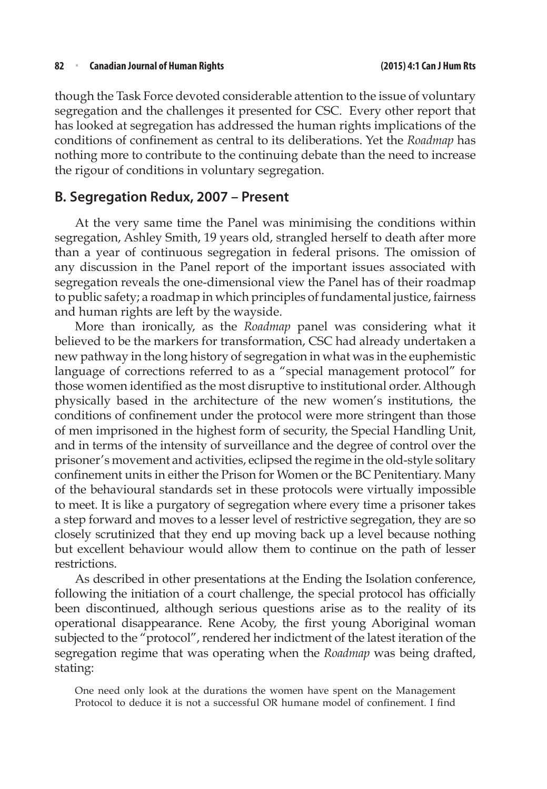though the Task Force devoted considerable attention to the issue of voluntary segregation and the challenges it presented for CSC. Every other report that has looked at segregation has addressed the human rights implications of the conditions of confinement as central to its deliberations. Yet the *Roadmap* has nothing more to contribute to the continuing debate than the need to increase the rigour of conditions in voluntary segregation.

### **B. Segregation Redux, 2007 – Present**

At the very same time the Panel was minimising the conditions within segregation, Ashley Smith, 19 years old, strangled herself to death after more than a year of continuous segregation in federal prisons. The omission of any discussion in the Panel report of the important issues associated with segregation reveals the one-dimensional view the Panel has of their roadmap to public safety; a roadmap in which principles of fundamental justice, fairness and human rights are left by the wayside.

More than ironically, as the *Roadmap* panel was considering what it believed to be the markers for transformation, CSC had already undertaken a new pathway in the long history of segregation in what was in the euphemistic language of corrections referred to as a "special management protocol" for those women identified as the most disruptive to institutional order. Although physically based in the architecture of the new women's institutions, the conditions of confinement under the protocol were more stringent than those of men imprisoned in the highest form of security, the Special Handling Unit, and in terms of the intensity of surveillance and the degree of control over the prisoner's movement and activities, eclipsed the regime in the old-style solitary confinement units in either the Prison for Women or the BC Penitentiary. Many of the behavioural standards set in these protocols were virtually impossible to meet. It is like a purgatory of segregation where every time a prisoner takes a step forward and moves to a lesser level of restrictive segregation, they are so closely scrutinized that they end up moving back up a level because nothing but excellent behaviour would allow them to continue on the path of lesser restrictions.

As described in other presentations at the Ending the Isolation conference, following the initiation of a court challenge, the special protocol has officially been discontinued, although serious questions arise as to the reality of its operational disappearance. Rene Acoby, the first young Aboriginal woman subjected to the "protocol", rendered her indictment of the latest iteration of the segregation regime that was operating when the *Roadmap* was being drafted, stating:

One need only look at the durations the women have spent on the Management Protocol to deduce it is not a successful OR humane model of confinement. I find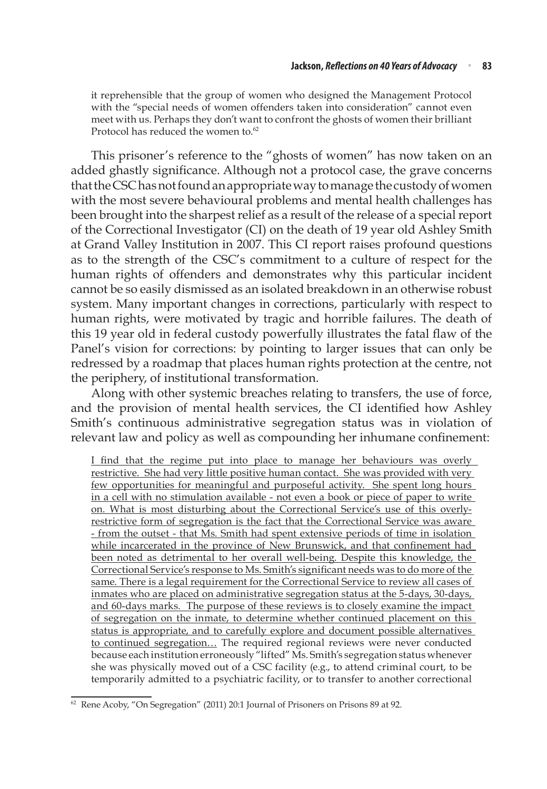it reprehensible that the group of women who designed the Management Protocol with the "special needs of women offenders taken into consideration" cannot even meet with us. Perhaps they don't want to confront the ghosts of women their brilliant Protocol has reduced the women to.<sup>62</sup>

This prisoner's reference to the "ghosts of women" has now taken on an added ghastly significance. Although not a protocol case, the grave concerns that the CSC has not found an appropriate way to manage the custody of women with the most severe behavioural problems and mental health challenges has been brought into the sharpest relief as a result of the release of a special report of the Correctional Investigator (CI) on the death of 19 year old Ashley Smith at Grand Valley Institution in 2007. This CI report raises profound questions as to the strength of the CSC's commitment to a culture of respect for the human rights of offenders and demonstrates why this particular incident cannot be so easily dismissed as an isolated breakdown in an otherwise robust system. Many important changes in corrections, particularly with respect to human rights, were motivated by tragic and horrible failures. The death of this 19 year old in federal custody powerfully illustrates the fatal flaw of the Panel's vision for corrections: by pointing to larger issues that can only be redressed by a roadmap that places human rights protection at the centre, not the periphery, of institutional transformation.

Along with other systemic breaches relating to transfers, the use of force, and the provision of mental health services, the CI identified how Ashley Smith's continuous administrative segregation status was in violation of relevant law and policy as well as compounding her inhumane confinement:

I find that the regime put into place to manage her behaviours was overly restrictive. She had very little positive human contact. She was provided with very few opportunities for meaningful and purposeful activity. She spent long hours in a cell with no stimulation available - not even a book or piece of paper to write on. What is most disturbing about the Correctional Service's use of this overlyrestrictive form of segregation is the fact that the Correctional Service was aware - from the outset - that Ms. Smith had spent extensive periods of time in isolation while incarcerated in the province of New Brunswick, and that confinement had been noted as detrimental to her overall well-being. Despite this knowledge, the Correctional Service's response to Ms. Smith's significant needs was to do more of the same. There is a legal requirement for the Correctional Service to review all cases of inmates who are placed on administrative segregation status at the 5-days, 30-days, and 60-days marks. The purpose of these reviews is to closely examine the impact of segregation on the inmate, to determine whether continued placement on this status is appropriate, and to carefully explore and document possible alternatives to continued segregation… The required regional reviews were never conducted because each institution erroneously "lifted" Ms. Smith's segregation status whenever she was physically moved out of a CSC facility (e.g., to attend criminal court, to be temporarily admitted to a psychiatric facility, or to transfer to another correctional

<sup>62</sup> Rene Acoby, "On Segregation" (2011) 20:1 Journal of Prisoners on Prisons 89 at 92.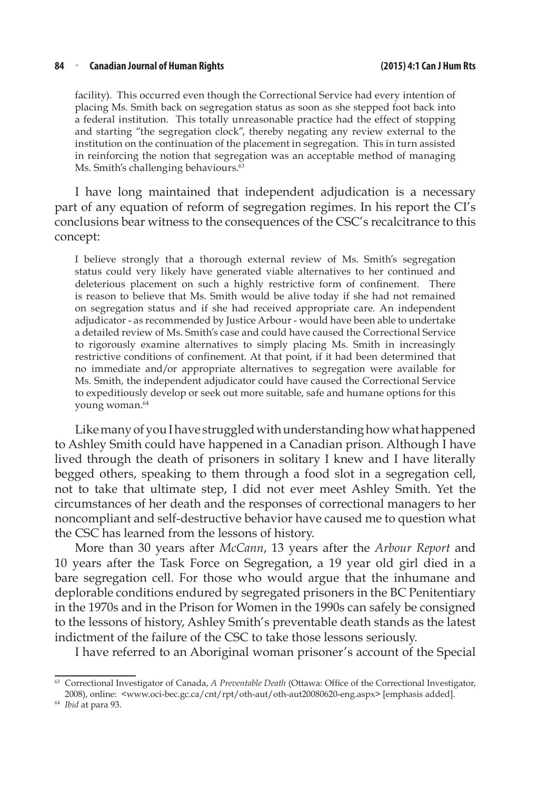facility). This occurred even though the Correctional Service had every intention of placing Ms. Smith back on segregation status as soon as she stepped foot back into a federal institution. This totally unreasonable practice had the effect of stopping and starting "the segregation clock", thereby negating any review external to the institution on the continuation of the placement in segregation. This in turn assisted in reinforcing the notion that segregation was an acceptable method of managing Ms. Smith's challenging behaviours.<sup>63</sup>

I have long maintained that independent adjudication is a necessary part of any equation of reform of segregation regimes. In his report the CI's conclusions bear witness to the consequences of the CSC's recalcitrance to this concept:

I believe strongly that a thorough external review of Ms. Smith's segregation status could very likely have generated viable alternatives to her continued and deleterious placement on such a highly restrictive form of confinement. There is reason to believe that Ms. Smith would be alive today if she had not remained on segregation status and if she had received appropriate care. An independent adjudicator - as recommended by Justice Arbour - would have been able to undertake a detailed review of Ms. Smith's case and could have caused the Correctional Service to rigorously examine alternatives to simply placing Ms. Smith in increasingly restrictive conditions of confinement. At that point, if it had been determined that no immediate and/or appropriate alternatives to segregation were available for Ms. Smith, the independent adjudicator could have caused the Correctional Service to expeditiously develop or seek out more suitable, safe and humane options for this young woman.<sup>64</sup>

Like many of you I have struggled with understanding how what happened to Ashley Smith could have happened in a Canadian prison. Although I have lived through the death of prisoners in solitary I knew and I have literally begged others, speaking to them through a food slot in a segregation cell, not to take that ultimate step, I did not ever meet Ashley Smith. Yet the circumstances of her death and the responses of correctional managers to her noncompliant and self-destructive behavior have caused me to question what the CSC has learned from the lessons of history.

More than 30 years after *McCann*, 13 years after the *Arbour Report* and 10 years after the Task Force on Segregation, a 19 year old girl died in a bare segregation cell. For those who would argue that the inhumane and deplorable conditions endured by segregated prisoners in the BC Penitentiary in the 1970s and in the Prison for Women in the 1990s can safely be consigned to the lessons of history, Ashley Smith's preventable death stands as the latest indictment of the failure of the CSC to take those lessons seriously.

I have referred to an Aboriginal woman prisoner's account of the Special

<sup>63</sup> Correctional Investigator of Canada, *A Preventable Death* (Ottawa: Office of the Correctional Investigator, 2008), online: <www.oci-bec.gc.ca/cnt/rpt/oth-aut/oth-aut20080620-eng.aspx> [emphasis added].

<sup>64</sup> *Ibid* at para 93.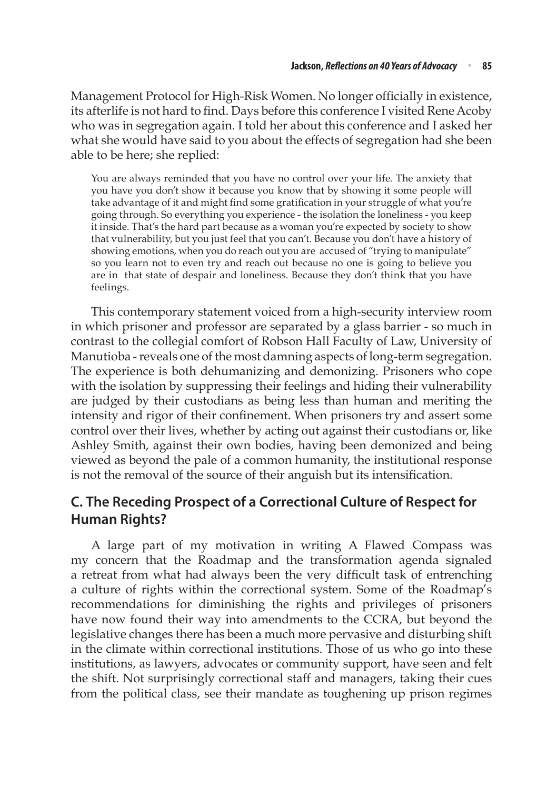Management Protocol for High-Risk Women. No longer officially in existence, its afterlife is not hard to find. Days before this conference I visited Rene Acoby who was in segregation again. I told her about this conference and I asked her what she would have said to you about the effects of segregation had she been able to be here; she replied:

You are always reminded that you have no control over your life. The anxiety that you have you don't show it because you know that by showing it some people will take advantage of it and might find some gratification in your struggle of what you're going through. So everything you experience - the isolation the loneliness - you keep it inside. That's the hard part because as a woman you're expected by society to show that vulnerability, but you just feel that you can't. Because you don't have a history of showing emotions, when you do reach out you are accused of "trying to manipulate" so you learn not to even try and reach out because no one is going to believe you are in that state of despair and loneliness. Because they don't think that you have feelings.

This contemporary statement voiced from a high-security interview room in which prisoner and professor are separated by a glass barrier - so much in contrast to the collegial comfort of Robson Hall Faculty of Law, University of Manutioba - reveals one of the most damning aspects of long-term segregation. The experience is both dehumanizing and demonizing. Prisoners who cope with the isolation by suppressing their feelings and hiding their vulnerability are judged by their custodians as being less than human and meriting the intensity and rigor of their confinement. When prisoners try and assert some control over their lives, whether by acting out against their custodians or, like Ashley Smith, against their own bodies, having been demonized and being viewed as beyond the pale of a common humanity, the institutional response is not the removal of the source of their anguish but its intensification.

## **C. The Receding Prospect of a Correctional Culture of Respect for Human Rights?**

A large part of my motivation in writing A Flawed Compass was my concern that the Roadmap and the transformation agenda signaled a retreat from what had always been the very difficult task of entrenching a culture of rights within the correctional system. Some of the Roadmap's recommendations for diminishing the rights and privileges of prisoners have now found their way into amendments to the CCRA, but beyond the legislative changes there has been a much more pervasive and disturbing shift in the climate within correctional institutions. Those of us who go into these institutions, as lawyers, advocates or community support, have seen and felt the shift. Not surprisingly correctional staff and managers, taking their cues from the political class, see their mandate as toughening up prison regimes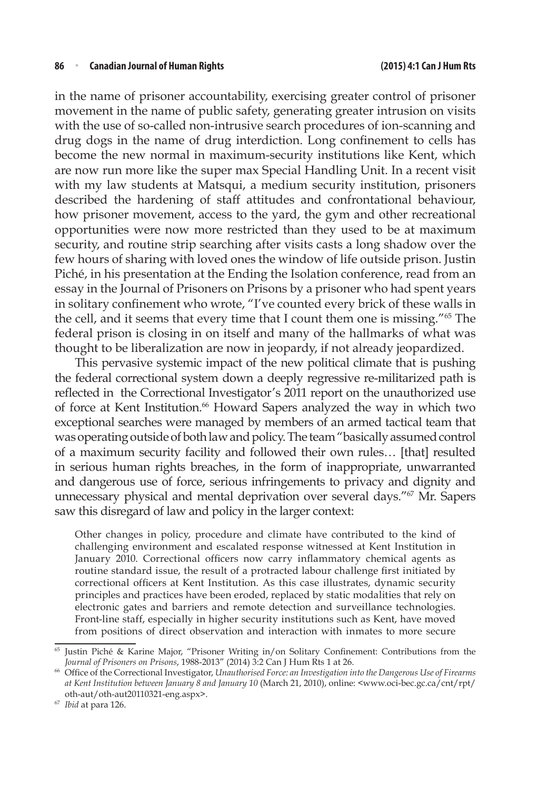in the name of prisoner accountability, exercising greater control of prisoner movement in the name of public safety, generating greater intrusion on visits with the use of so-called non-intrusive search procedures of ion-scanning and drug dogs in the name of drug interdiction. Long confinement to cells has become the new normal in maximum-security institutions like Kent, which are now run more like the super max Special Handling Unit. In a recent visit with my law students at Matsqui, a medium security institution, prisoners described the hardening of staff attitudes and confrontational behaviour, how prisoner movement, access to the yard, the gym and other recreational opportunities were now more restricted than they used to be at maximum security, and routine strip searching after visits casts a long shadow over the few hours of sharing with loved ones the window of life outside prison. Justin Piché, in his presentation at the Ending the Isolation conference, read from an essay in the Journal of Prisoners on Prisons by a prisoner who had spent years in solitary confinement who wrote, "I've counted every brick of these walls in the cell, and it seems that every time that I count them one is missing."<sup>65</sup> The federal prison is closing in on itself and many of the hallmarks of what was thought to be liberalization are now in jeopardy, if not already jeopardized.

This pervasive systemic impact of the new political climate that is pushing the federal correctional system down a deeply regressive re-militarized path is reflected in the Correctional Investigator's 2011 report on the unauthorized use of force at Kent Institution.<sup>66</sup> Howard Sapers analyzed the way in which two exceptional searches were managed by members of an armed tactical team that was operating outside of both law and policy. The team "basically assumed control of a maximum security facility and followed their own rules… [that] resulted in serious human rights breaches, in the form of inappropriate, unwarranted and dangerous use of force, serious infringements to privacy and dignity and unnecessary physical and mental deprivation over several days."67 Mr. Sapers saw this disregard of law and policy in the larger context:

Other changes in policy, procedure and climate have contributed to the kind of challenging environment and escalated response witnessed at Kent Institution in January 2010. Correctional officers now carry inflammatory chemical agents as routine standard issue, the result of a protracted labour challenge first initiated by correctional officers at Kent Institution. As this case illustrates, dynamic security principles and practices have been eroded, replaced by static modalities that rely on electronic gates and barriers and remote detection and surveillance technologies. Front-line staff, especially in higher security institutions such as Kent, have moved from positions of direct observation and interaction with inmates to more secure

<sup>65</sup> Justin Piché & Karine Major, "Prisoner Writing in/on Solitary Confinement: Contributions from the *Journal of Prisoners on Prisons*, 1988-2013" (2014) 3:2 Can J Hum Rts 1 at 26.

<sup>66</sup> Office of the Correctional Investigator, *Unauthorised Force: an Investigation into the Dangerous Use of Firearms at Kent Institution between January 8 and January 10* (March 21, 2010), online: <www.oci-bec.gc.ca/cnt/rpt/ oth-aut/oth-aut20110321-eng.aspx>.

<sup>67</sup> *Ibid* at para 126.